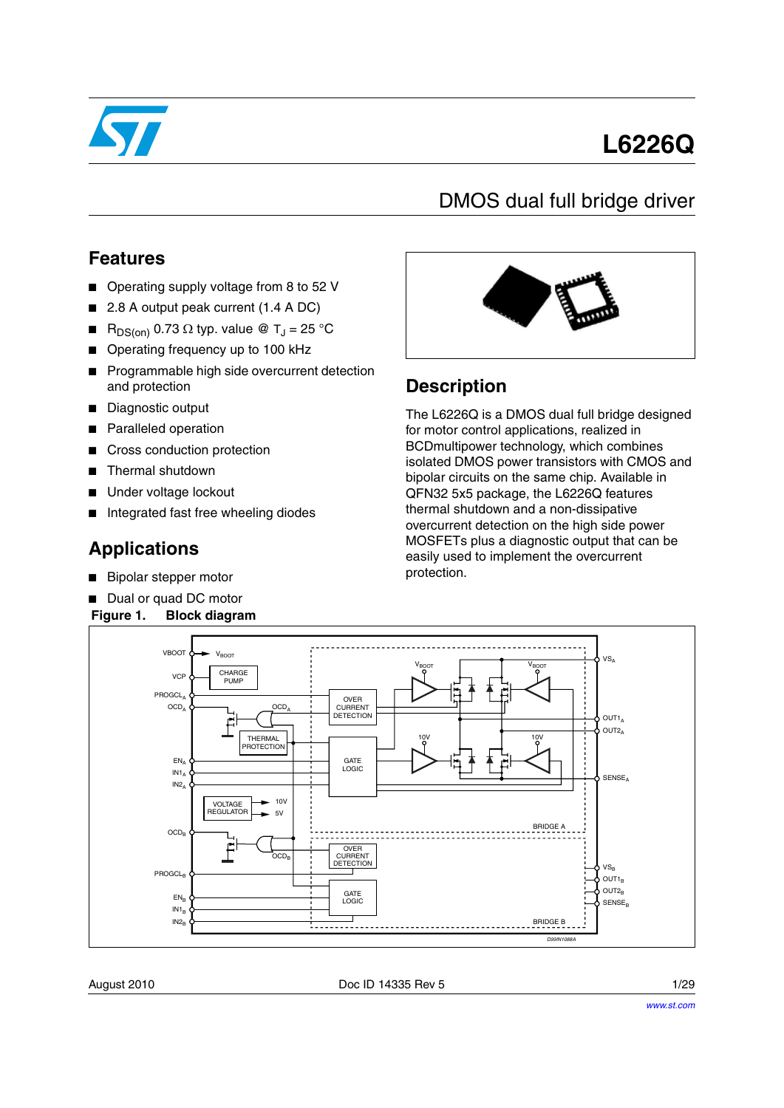

# **L6226Q**

## DMOS dual full bridge driver

### **Features**

- Operating supply voltage from 8 to 52 V
- 2.8 A output peak current (1.4 A DC)
- $R_{DS(on)}$  0.73  $\Omega$  typ. value @ T<sub>J</sub> = 25 °C
- Operating frequency up to 100 kHz
- Programmable high side overcurrent detection and protection
- Diagnostic output
- Paralleled operation
- Cross conduction protection
- Thermal shutdown
- Under voltage lockout
- Integrated fast free wheeling diodes

### **Applications**

- Bipolar stepper motor
- Dual or quad DC motor

#### **Figure 1. Block diagram**



### **Description**

The L6226Q is a DMOS dual full bridge designed for motor control applications, realized in BCDmultipower technology, which combines isolated DMOS power transistors with CMOS and bipolar circuits on the same chip. Available in QFN32 5x5 package, the L6226Q features thermal shutdown and a non-dissipative overcurrent detection on the high side power MOSFETs plus a diagnostic output that can be easily used to implement the overcurrent protection.

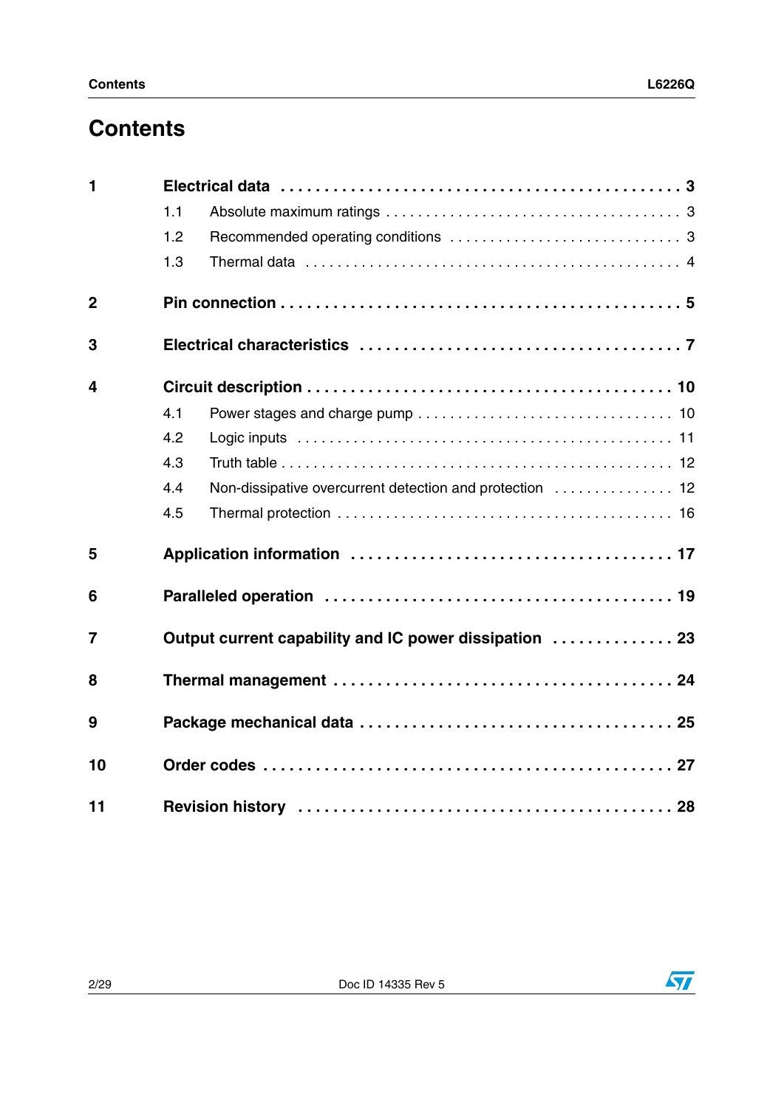## **Contents**

| $\mathbf{1}$   |     |                                                          |  |  |  |  |  |
|----------------|-----|----------------------------------------------------------|--|--|--|--|--|
|                | 1.1 |                                                          |  |  |  |  |  |
|                | 1.2 |                                                          |  |  |  |  |  |
|                | 1.3 |                                                          |  |  |  |  |  |
| $\overline{2}$ |     |                                                          |  |  |  |  |  |
| 3              |     |                                                          |  |  |  |  |  |
| 4              |     |                                                          |  |  |  |  |  |
|                | 4.1 |                                                          |  |  |  |  |  |
|                | 4.2 |                                                          |  |  |  |  |  |
|                | 4.3 |                                                          |  |  |  |  |  |
|                | 4.4 | Non-dissipative overcurrent detection and protection  12 |  |  |  |  |  |
|                | 4.5 |                                                          |  |  |  |  |  |
| 5              |     |                                                          |  |  |  |  |  |
| 6              |     |                                                          |  |  |  |  |  |
| $\overline{7}$ |     | Output current capability and IC power dissipation  23   |  |  |  |  |  |
| 8              |     |                                                          |  |  |  |  |  |
| 9              |     |                                                          |  |  |  |  |  |
| 10             |     |                                                          |  |  |  |  |  |
| 11             |     |                                                          |  |  |  |  |  |



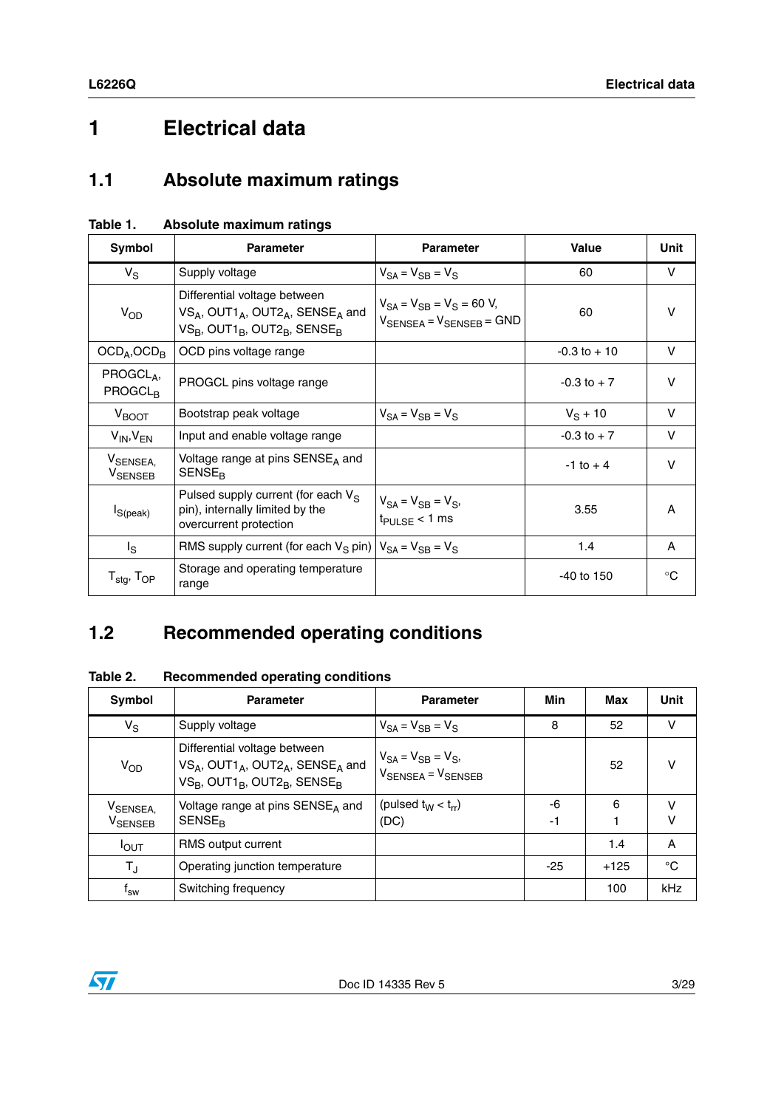## <span id="page-2-0"></span>**1 Electrical data**

### <span id="page-2-1"></span>**1.1 Absolute maximum ratings**

| Symbol                                      | <b>Parameter</b>                                                                                                                                   | <b>Parameter</b>                                                                         | <b>Value</b>    | Unit   |
|---------------------------------------------|----------------------------------------------------------------------------------------------------------------------------------------------------|------------------------------------------------------------------------------------------|-----------------|--------|
| $V_S$                                       | Supply voltage                                                                                                                                     | $V_{SA} = V_{SB} = V_S$                                                                  | 60              | v      |
| $V_{OD}$                                    | Differential voltage between<br>VSA, OUT1 <sub>A</sub> , OUT2 <sub>A</sub> , SENSE <sub>A</sub> and<br>$VS_B$ , OUT1 $_B$ , OUT2 $_B$ , SENSE $_B$ | $V_{SA} = V_{SB} = V_S = 60 V$ ,<br>$V_{\text{SENSEA}} = V_{\text{SENSEB}} = \text{GND}$ | 60              | $\vee$ |
| $OCD_A$ , $OCD_B$                           | OCD pins voltage range                                                                                                                             |                                                                                          | $-0.3$ to $+10$ | V      |
| PROGCLA,<br>PROGCL <sub>R</sub>             | PROGCL pins voltage range                                                                                                                          |                                                                                          | $-0.3$ to $+7$  | V      |
| $V_{\text{BOOT}}$                           | Bootstrap peak voltage                                                                                                                             | $V_{SA} = V_{SB} = V_{S}$                                                                | $V_S + 10$      | $\vee$ |
| $V_{IN}$ , $V_{EN}$                         | Input and enable voltage range                                                                                                                     |                                                                                          | $-0.3$ to $+7$  | V      |
| V <sub>SENSEA,</sub><br>V <sub>SENSEB</sub> | Voltage range at pins SENSE <sub>A</sub> and<br><b>SENSE<sub>R</sub></b>                                                                           |                                                                                          | $-1$ to $+4$    | $\vee$ |
| $I_{S(peak)}$                               | Pulsed supply current (for each $V_S$<br>pin), internally limited by the<br>overcurrent protection                                                 | $V_{SA} = V_{SB} = V_{S}$<br>$t_{\text{PULSE}} < 1 \text{ ms}$                           | 3.55            | A      |
| $I_{\rm S}$                                 | RMS supply current (for each $V_S$ pin) $ V_{SA} = V_{SB} = V_S$                                                                                   |                                                                                          | 1.4             | A      |
| $T_{\text{stg}}$ , $T_{\text{OP}}$          | Storage and operating temperature<br>range                                                                                                         |                                                                                          | $-40$ to 150    | °C     |

#### <span id="page-2-3"></span>**Table 1. Absolute maximum ratings**

## <span id="page-2-2"></span>**1.2 Recommended operating conditions**

**Table 2. Recommended operating conditions**

| <b>Symbol</b>                           | <b>Parameter</b>                                                                                                                                   | <b>Parameter</b>                                                     | Min      | Max    | Unit        |
|-----------------------------------------|----------------------------------------------------------------------------------------------------------------------------------------------------|----------------------------------------------------------------------|----------|--------|-------------|
| $V_S$                                   | Supply voltage                                                                                                                                     | $V_{SA} = V_{SB} = V_{S}$                                            | 8        | 52     | $\vee$      |
| V <sub>OD</sub>                         | Differential voltage between<br>VSA, OUT1 <sub>A</sub> , OUT2 <sub>A</sub> , SENSE <sub>A</sub> and<br>$VS_B$ , OUT1 $_B$ , OUT2 $_B$ , SENSE $_B$ | $V_{SA} = V_{SB} = V_{S}$<br>$V_{\text{SENSEA}} = V_{\text{SENSEB}}$ |          | 52     | v           |
| V <sub>SENSEA,</sub><br><b>V</b> SENSEB | Voltage range at pins SENSE <sub>A</sub> and<br><b>SENSE<sub>R</sub></b>                                                                           | (pulsed $t_W < t_{rr}$ )<br>(DC)                                     | -6<br>-1 | 6      | v<br>v      |
| $I_{\text{OUT}}$                        | RMS output current                                                                                                                                 |                                                                      |          | 1.4    | A           |
| $T_{\rm J}$                             | Operating junction temperature                                                                                                                     |                                                                      | $-25$    | $+125$ | $^{\circ}C$ |
| T <sub>sw</sub>                         | Switching frequency                                                                                                                                |                                                                      |          | 100    | kHz         |

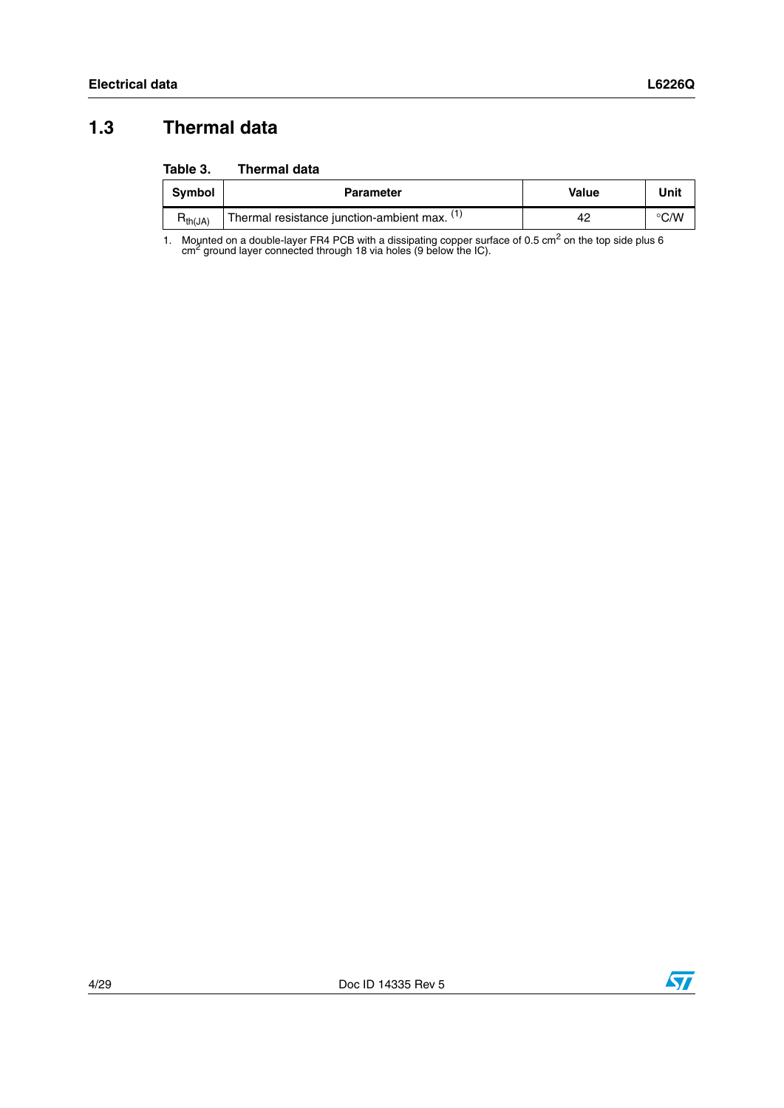### <span id="page-3-0"></span>**1.3 Thermal data**

#### <span id="page-3-1"></span>**Table 3. Thermal data**

| <b>Symbol</b> | <b>Parameter</b>                             | Value | Unit          |
|---------------|----------------------------------------------|-------|---------------|
| $H_{th}(JA)$  | Thermal resistance junction-ambient max. (1) |       | $\degree$ C/W |

1. Mounted on a double-layer FR4 PCB with a dissipating copper surface of 0.5 cm<sup>2</sup> on the top side plus 6 cm<sup>2</sup> ground layer connected through 18 via holes (9 below the IC).

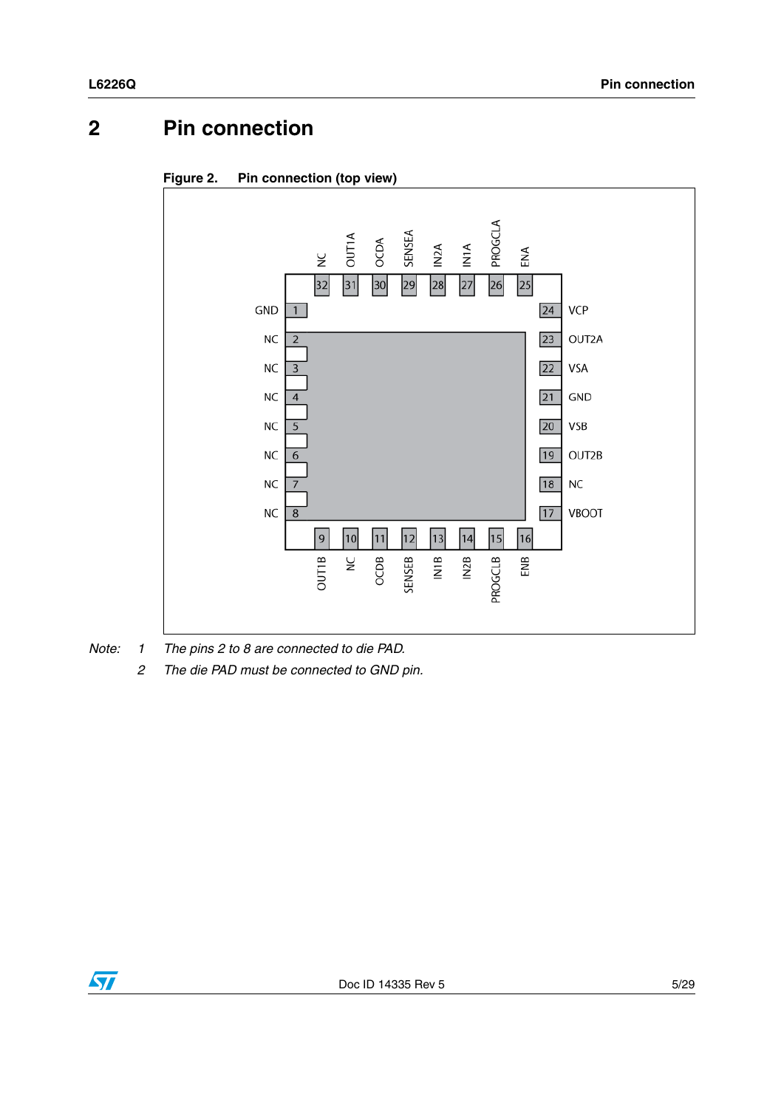## <span id="page-4-0"></span>**2 Pin connection**





*Note: 1 The pins 2 to 8 are connected to die PAD.*

*2 The die PAD must be connected to GND pin.*

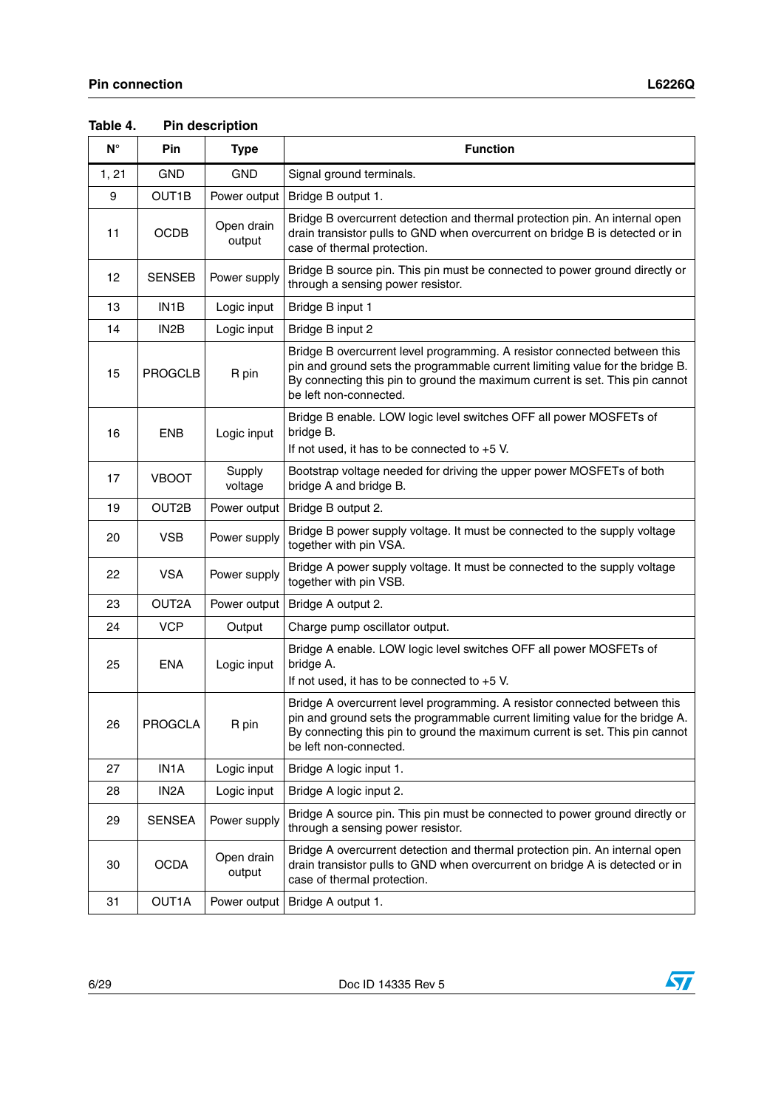| $N^{\circ}$ | Pin               | <b>Type</b>          | <b>Function</b>                                                                                                                                                                                                                                                      |
|-------------|-------------------|----------------------|----------------------------------------------------------------------------------------------------------------------------------------------------------------------------------------------------------------------------------------------------------------------|
| 1, 21       | <b>GND</b>        | <b>GND</b>           | Signal ground terminals.                                                                                                                                                                                                                                             |
| 9           | OUT1B             | Power output         | Bridge B output 1.                                                                                                                                                                                                                                                   |
| 11          | <b>OCDB</b>       | Open drain<br>output | Bridge B overcurrent detection and thermal protection pin. An internal open<br>drain transistor pulls to GND when overcurrent on bridge B is detected or in<br>case of thermal protection.                                                                           |
| 12          | <b>SENSEB</b>     | Power supply         | Bridge B source pin. This pin must be connected to power ground directly or<br>through a sensing power resistor.                                                                                                                                                     |
| 13          | IN <sub>1</sub> B | Logic input          | Bridge B input 1                                                                                                                                                                                                                                                     |
| 14          | IN <sub>2</sub> B | Logic input          | Bridge B input 2                                                                                                                                                                                                                                                     |
| 15          | <b>PROGCLB</b>    | R pin                | Bridge B overcurrent level programming. A resistor connected between this<br>pin and ground sets the programmable current limiting value for the bridge B.<br>By connecting this pin to ground the maximum current is set. This pin cannot<br>be left non-connected. |
| 16          | <b>ENB</b>        | Logic input          | Bridge B enable. LOW logic level switches OFF all power MOSFETs of<br>bridge B.<br>If not used, it has to be connected to $+5$ V.                                                                                                                                    |
| 17          | <b>VBOOT</b>      | Supply<br>voltage    | Bootstrap voltage needed for driving the upper power MOSFETs of both<br>bridge A and bridge B.                                                                                                                                                                       |
| 19          | OUT2B             | Power output         | Bridge B output 2.                                                                                                                                                                                                                                                   |
| 20          | <b>VSB</b>        | Power supply         | Bridge B power supply voltage. It must be connected to the supply voltage<br>together with pin VSA.                                                                                                                                                                  |
| 22          | <b>VSA</b>        | Power supply         | Bridge A power supply voltage. It must be connected to the supply voltage<br>together with pin VSB.                                                                                                                                                                  |
| 23          | OUT2A             | Power output         | Bridge A output 2.                                                                                                                                                                                                                                                   |
| 24          | <b>VCP</b>        | Output               | Charge pump oscillator output.                                                                                                                                                                                                                                       |
| 25          | <b>ENA</b>        | Logic input          | Bridge A enable. LOW logic level switches OFF all power MOSFETs of<br>bridge A.<br>If not used, it has to be connected to +5 V.                                                                                                                                      |
| 26          | <b>PROGCLA</b>    | R pin                | Bridge A overcurrent level programming. A resistor connected between this<br>pin and ground sets the programmable current limiting value for the bridge A.<br>By connecting this pin to ground the maximum current is set. This pin cannot<br>be left non-connected. |
| 27          | IN1A              | Logic input          | Bridge A logic input 1.                                                                                                                                                                                                                                              |
| 28          | IN <sub>2</sub> A | Logic input          | Bridge A logic input 2.                                                                                                                                                                                                                                              |
| 29          | SENSEA            | Power supply         | Bridge A source pin. This pin must be connected to power ground directly or<br>through a sensing power resistor.                                                                                                                                                     |
| 30          | <b>OCDA</b>       | Open drain<br>output | Bridge A overcurrent detection and thermal protection pin. An internal open<br>drain transistor pulls to GND when overcurrent on bridge A is detected or in<br>case of thermal protection.                                                                           |
| 31          | OUT1A             | Power output         | Bridge A output 1.                                                                                                                                                                                                                                                   |

**Table 4. Pin description** 

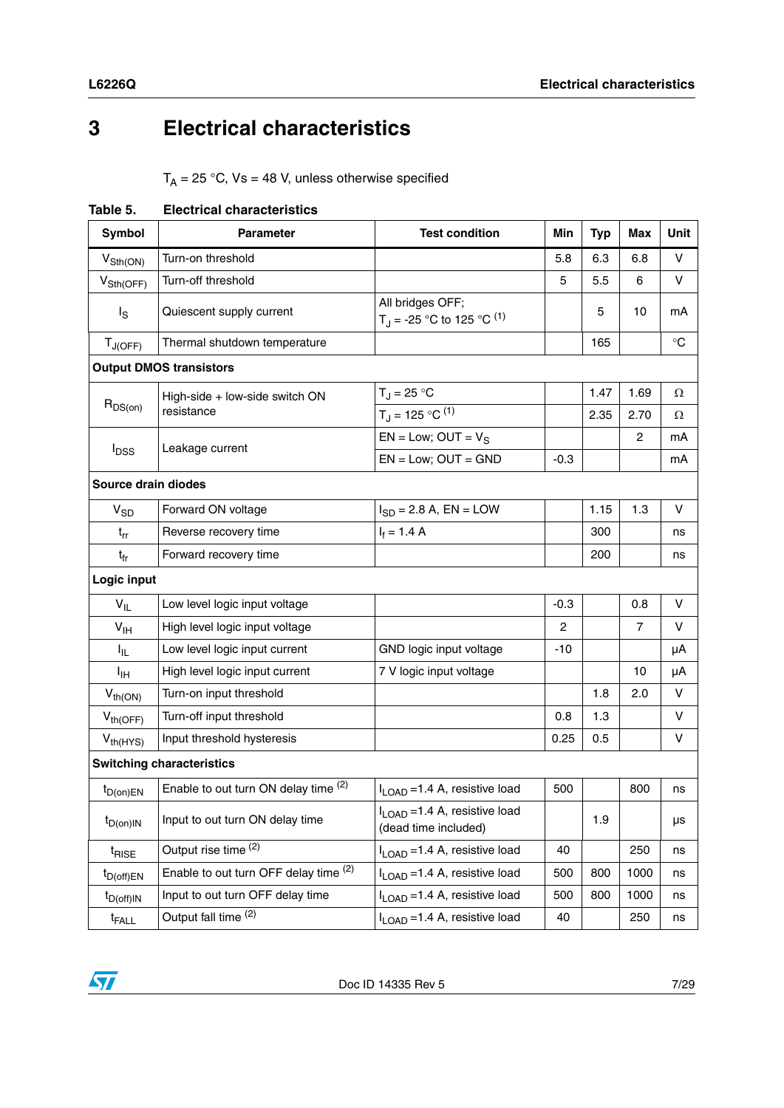## <span id="page-6-0"></span>**3 Electrical characteristics**

 $T_A = 25 °C$ ,  $Vs = 48 V$ , unless otherwise specified

**Table 5. Electrical characteristics** 

| Symbol                      | <b>Parameter</b>                      | <b>Test condition</b>                                                | Min    | <b>Typ</b> | <b>Max</b>     | Unit            |
|-----------------------------|---------------------------------------|----------------------------------------------------------------------|--------|------------|----------------|-----------------|
| $V_{\text{Sth}(\text{ON})}$ | Turn-on threshold                     |                                                                      | 5.8    | 6.3        | 6.8            | $\vee$          |
| $V_{\text{Sth(OFF)}}$       | Turn-off threshold                    |                                                                      | 5      | 5.5        | 6              | V               |
| $I_{\rm S}$                 | Quiescent supply current              | All bridges OFF;<br>T <sub>J</sub> = -25 °C to 125 °C <sup>(1)</sup> |        | 5          | 10             | mA              |
| $T_{J(OFF)}$                | Thermal shutdown temperature          |                                                                      |        | 165        |                | $\rm ^{\circ}C$ |
|                             | <b>Output DMOS transistors</b>        |                                                                      |        |            |                |                 |
|                             | High-side + low-side switch ON        | $T_J = 25 °C$                                                        |        | 1.47       | 1.69           | Ω               |
| $R_{DS(on)}$                | resistance                            | $T_J = 125 °C^{(1)}$                                                 |        | 2.35       | 2.70           | Ω               |
|                             |                                       | $EN = Low$ ; OUT = $V_S$                                             |        |            | $\overline{c}$ | mA              |
| <b>I</b> <sub>DSS</sub>     | Leakage current                       | $EN = Low$ ; $OUT = GND$                                             | $-0.3$ |            |                | mA              |
| Source drain diodes         |                                       |                                                                      |        |            |                |                 |
| $V_{SD}$                    | Forward ON voltage                    | $I_{SD} = 2.8 A$ , EN = LOW                                          |        | 1.15       | 1.3            | $\vee$          |
| $t_{rr}$                    | Reverse recovery time                 | $I_f = 1.4 A$                                                        |        | 300        |                | ns              |
| $t_{fr}$                    | Forward recovery time                 |                                                                      |        | 200        |                | ns              |
| Logic input                 |                                       |                                                                      |        |            |                |                 |
| $V_{IL}$                    | Low level logic input voltage         |                                                                      | $-0.3$ |            | 0.8            | V               |
| V <sub>IH</sub>             | High level logic input voltage        |                                                                      | 2      |            | $\overline{7}$ | V               |
| I <sub>IL</sub>             | Low level logic input current         | GND logic input voltage                                              | $-10$  |            |                | μA              |
| ŀщ                          | High level logic input current        | 7 V logic input voltage                                              |        |            | 10             | μA              |
| $V_{th(ON)}$                | Turn-on input threshold               |                                                                      |        | 1.8        | 2.0            | $\vee$          |
| $V_{th(OFF)}$               | Turn-off input threshold              |                                                                      | 0.8    | 1.3        |                | $\vee$          |
| $V_{th(HYS)}$               | Input threshold hysteresis            |                                                                      | 0.25   | 0.5        |                | V               |
|                             | <b>Switching characteristics</b>      |                                                                      |        |            |                |                 |
| $t_{D(0n)EN}$               | Enable to out turn ON delay time (2)  | I <sub>LOAD</sub> = 1.4 A, resistive load                            | 500    |            | 800            | ns              |
| $t_{D(0n)IN}$               | Input to out turn ON delay time       | I <sub>LOAD</sub> = 1.4 A, resistive load<br>(dead time included)    |        | 1.9        |                | μs              |
| <sup>t</sup> RISE           | Output rise time (2)                  | $I_{\text{LOAD}}$ =1.4 A, resistive load                             | 40     |            | 250            | ns              |
| $t_{D(off)EN}$              | Enable to out turn OFF delay time (2) | I <sub>LOAD</sub> = 1.4 A, resistive load                            | 500    | 800        | 1000           | ns              |
| $t_{D(off)IN}$              | Input to out turn OFF delay time      | $I_{\text{LOAD}}$ =1.4 A, resistive load                             | 500    | 800        | 1000           | ns              |
| t <sub>FALL</sub>           | Output fall time (2)                  | I <sub>LOAD</sub> = 1.4 A, resistive load                            | 40     |            | 250            | ns              |

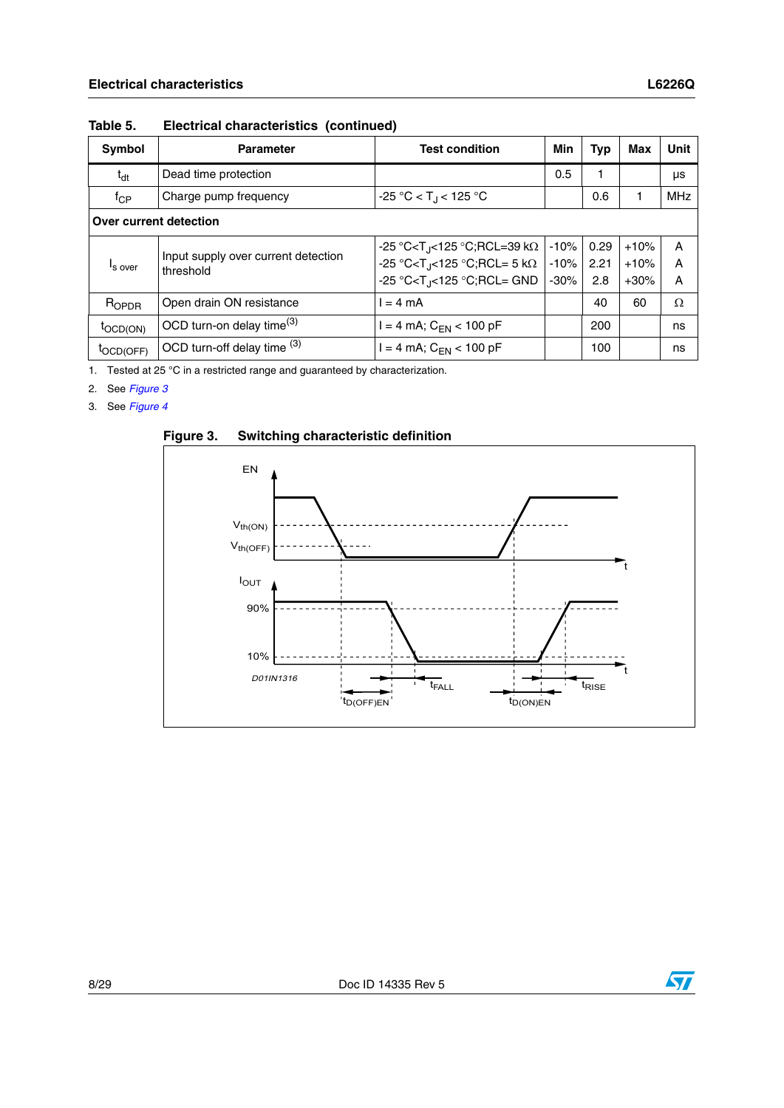| <b>Symbol</b>          | <b>Parameter</b>                                 | <b>Test condition</b>                       | Min    | Typ  | Max    | Unit       |
|------------------------|--------------------------------------------------|---------------------------------------------|--------|------|--------|------------|
| $t_{dt}$               | Dead time protection                             |                                             | 0.5    |      |        | μs         |
| t <sub>CP</sub>        | Charge pump frequency                            | $-25 °C < T$ <sub>J</sub> < 125 °C          |        | 0.6  |        | <b>MHz</b> |
| Over current detection |                                                  |                                             |        |      |        |            |
|                        |                                                  | -25 °C <t<sub>J&lt;125 °C;RCL=39 kΩ</t<sub> | $-10%$ | 0.29 | $+10%$ | A          |
| <sup>I</sup> s over    | Input supply over current detection<br>threshold | -25 °C <t<sub>J&lt;125 °C;RCL= 5 kΩ</t<sub> | $-10%$ | 2.21 | $+10%$ | A          |
|                        |                                                  | -25 °C <t<sub>J&lt;125 °C;RCL= GND</t<sub>  | $-30%$ | 2.8  | $+30%$ | A          |
| $R_{OPDR}$             | Open drain ON resistance                         | $= 4 \text{ mA}$                            |        | 40   | 60     | $\Omega$   |
| $tOCD(ON)$             | OCD turn-on delay time <sup>(3)</sup>            | $=$ 4 mA; C <sub>EN</sub> < 100 pF          |        | 200  |        | ns         |
| <sup>I</sup> OCD(OFF)  | OCD turn-off delay time (3)                      | $= 4$ mA; C <sub>EN</sub> < 100 pF          |        | 100  |        | ns         |

**Table 5. Electrical characteristics (continued)**

1. Tested at 25 °C in a restricted range and guaranteed by characterization.

2. See *[Figure 3](#page-7-0)*

3. See *[Figure 4](#page-8-0)*

<span id="page-7-0"></span>

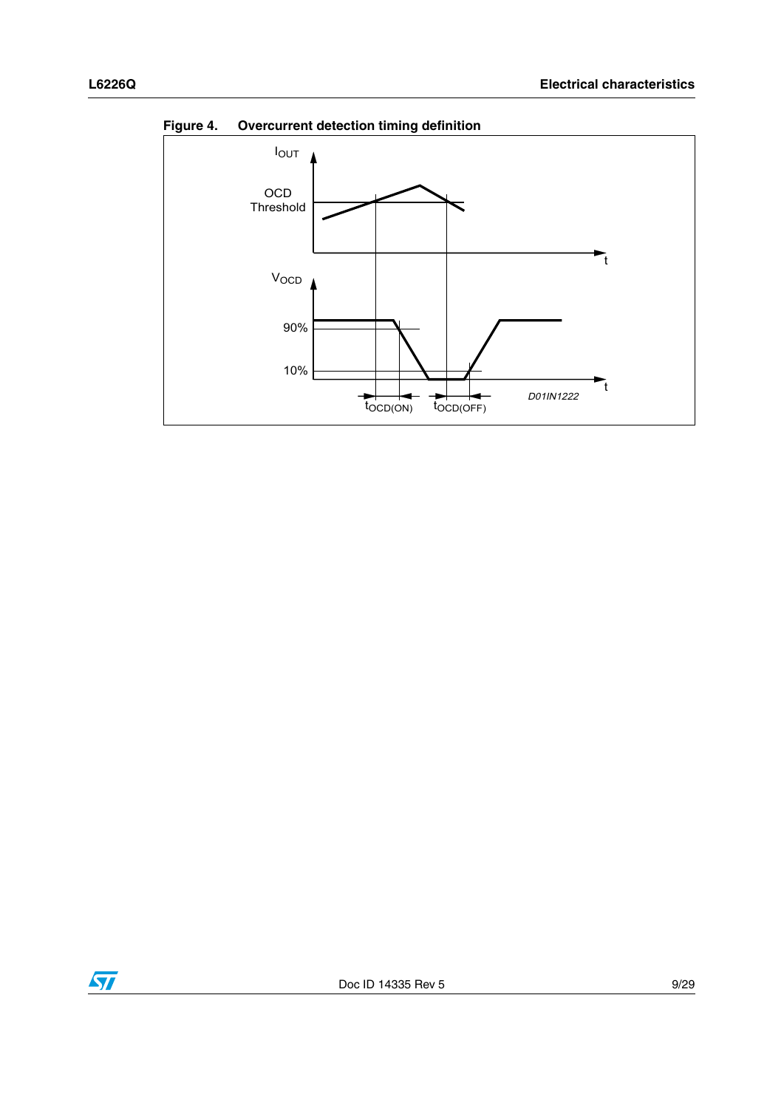

<span id="page-8-0"></span>**Figure 4. Overcurrent detection timing definition**

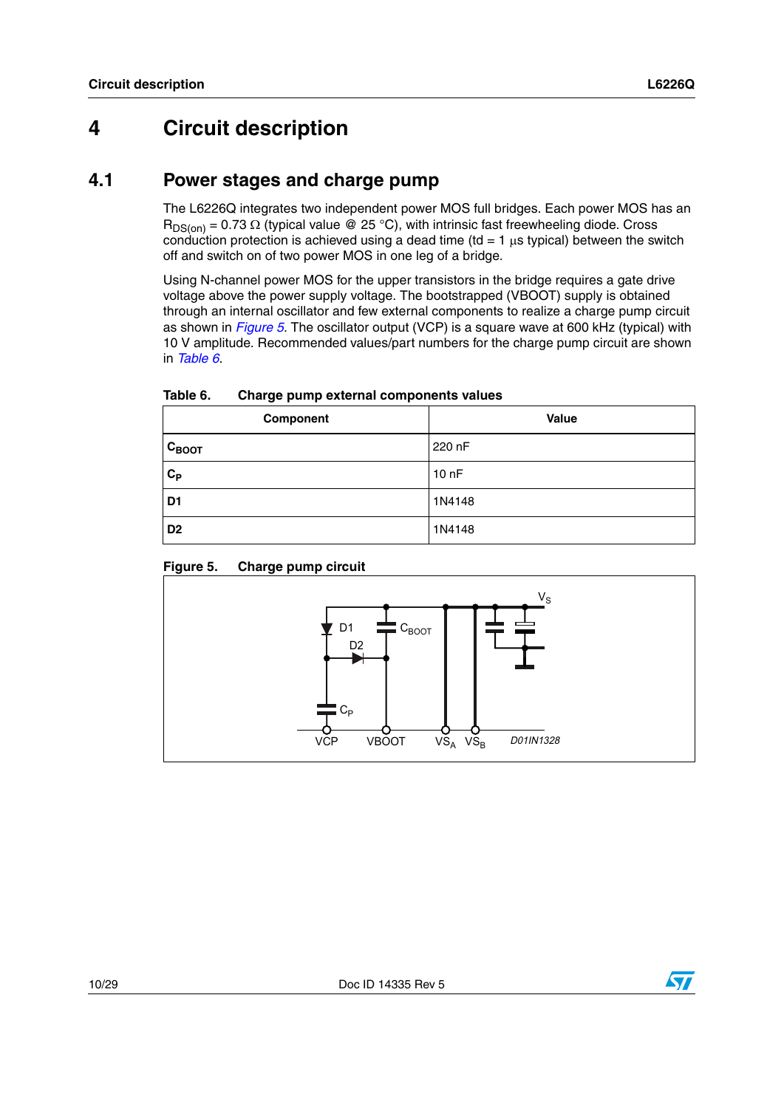## <span id="page-9-0"></span>**4 Circuit description**

### <span id="page-9-1"></span>**4.1 Power stages and charge pump**

The L6226Q integrates two independent power MOS full bridges. Each power MOS has an  $R_{DS(on)} = 0.73 \Omega$  (typical value @ 25 °C), with intrinsic fast freewheeling diode. Cross conduction protection is achieved using a dead time (td = 1  $\mu$ s typical) between the switch off and switch on of two power MOS in one leg of a bridge.

Using N-channel power MOS for the upper transistors in the bridge requires a gate drive voltage above the power supply voltage. The bootstrapped (VBOOT) supply is obtained through an internal oscillator and few external components to realize a charge pump circuit as shown in *[Figure 5](#page-9-2)*. The oscillator output (VCP) is a square wave at 600 kHz (typical) with 10 V amplitude. Recommended values/part numbers for the charge pump circuit are shown in *[Table 6](#page-9-3)*.

| Component         | Value  |
|-------------------|--------|
| $C_{\text{BOOT}}$ | 220 nF |
| $C_{P}$           | 10nF   |
| D <sub>1</sub>    | 1N4148 |
| D <sub>2</sub>    | 1N4148 |

<span id="page-9-3"></span>

| Table 6. | Charge pump external components values |
|----------|----------------------------------------|
|----------|----------------------------------------|



#### <span id="page-9-2"></span>**Figure 5. Charge pump circuit**

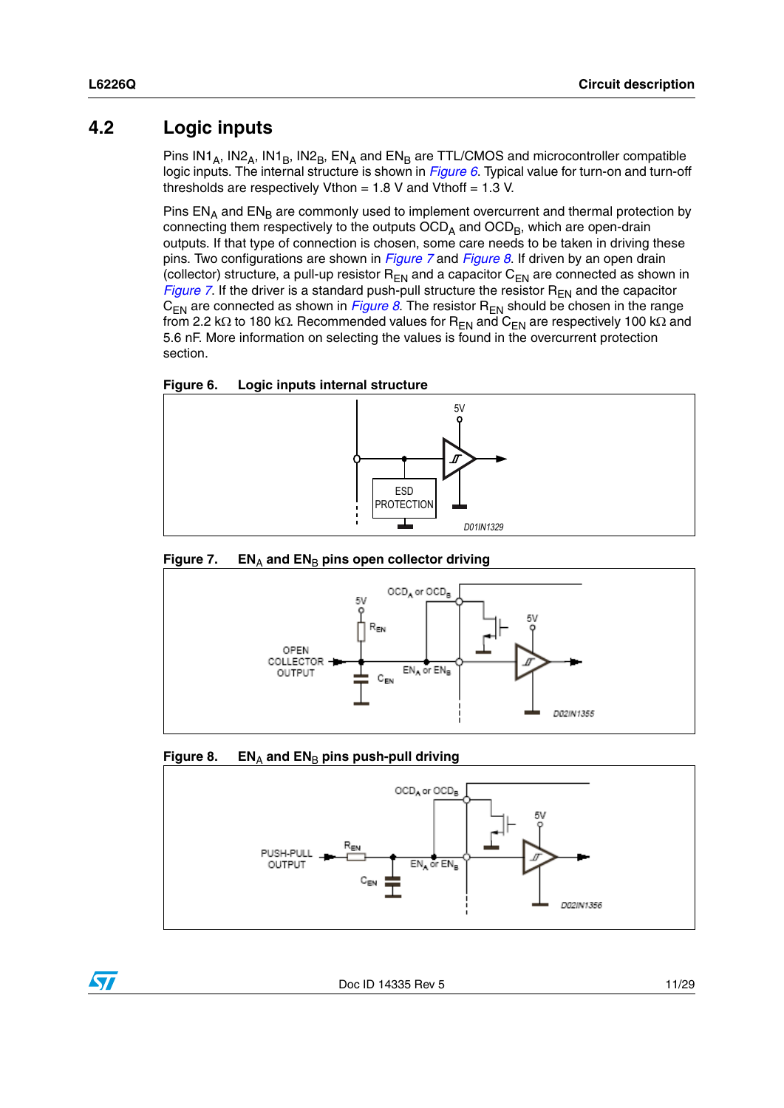### <span id="page-10-0"></span>**4.2 Logic inputs**

Pins  $IN1_A$ ,  $IN2_A$ ,  $IN1_B$ ,  $IN2_B$ ,  $EN_A$  and  $EN_B$  are TTL/CMOS and microcontroller compatible logic inputs. The internal structure is shown in *[Figure 6](#page-10-1)*. Typical value for turn-on and turn-off thresholds are respectively Vthon  $= 1.8$  V and Vthoff  $= 1.3$  V.

Pins  $EN_A$  and  $EN_B$  are commonly used to implement overcurrent and thermal protection by connecting them respectively to the outputs  $OCD<sub>A</sub>$  and  $OCD<sub>B</sub>$ , which are open-drain outputs. If that type of connection is chosen, some care needs to be taken in driving these pins. Two configurations are shown in *[Figure 7](#page-10-2)* and *[Figure 8](#page-10-3)*. If driven by an open drain (collector) structure, a pull-up resistor  $R_{EN}$  and a capacitor  $C_{EN}$  are connected as shown in *[Figure 7](#page-10-2)*. If the driver is a standard push-pull structure the resistor  $R_{EN}$  and the capacitor  $C_{EN}$  are connected as shown in *[Figure 8](#page-10-3)*. The resistor  $R_{EN}$  should be chosen in the range from 2.2 kΩ to 180 kΩ. Recommended values for  $R_{EN}$  and  $C_{EN}$  are respectively 100 kΩ and 5.6 nF. More information on selecting the values is found in the overcurrent protection section.

<span id="page-10-1"></span>



<span id="page-10-2"></span>



#### <span id="page-10-3"></span>**Figure 8.** EN<sub>A</sub> and EN<sub>B</sub> pins push-pull driving





 $\sqrt{}$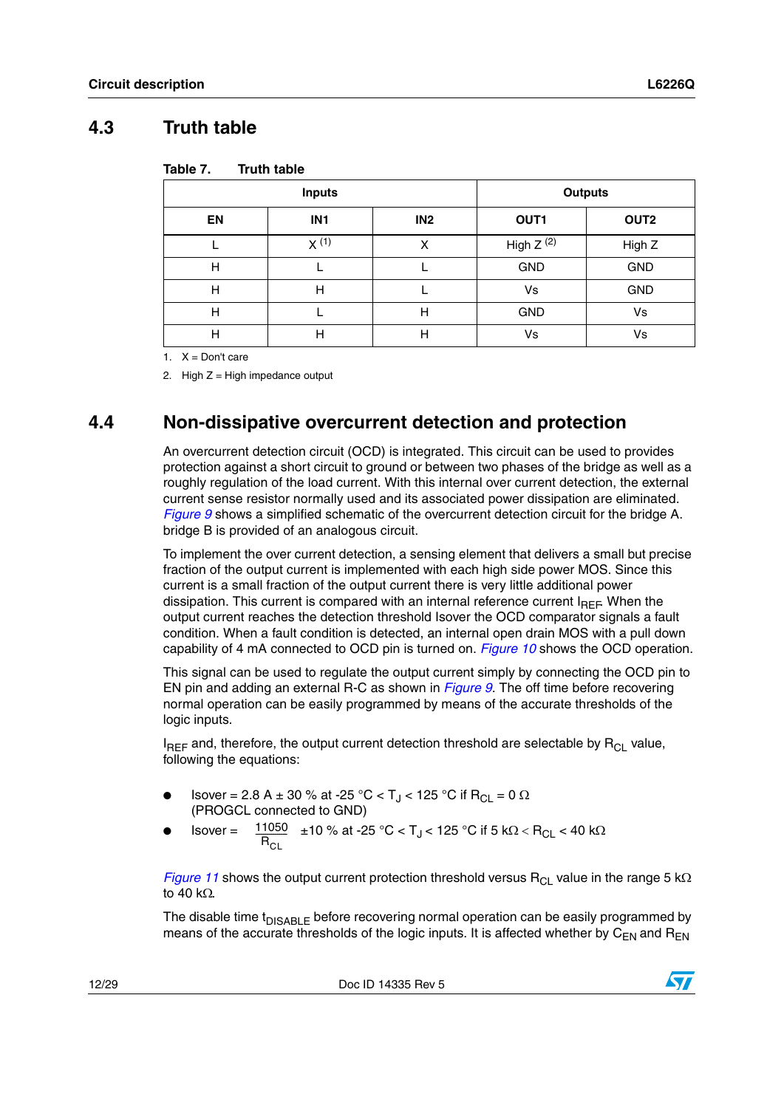### <span id="page-11-0"></span>**4.3 Truth table**

| Table 7. | <b>Truth table</b> |
|----------|--------------------|
|----------|--------------------|

|    | <b>Inputs</b>   |                 | <b>Outputs</b> |                  |
|----|-----------------|-----------------|----------------|------------------|
| EN | IN <sub>1</sub> | IN <sub>2</sub> | OUT1           | OUT <sub>2</sub> |
|    | $X^{(1)}$       | х               | High $Z^{(2)}$ | High Z           |
| н  |                 |                 | <b>GND</b>     | <b>GND</b>       |
| н  | н               |                 | Vs             | <b>GND</b>       |
| Н  |                 | Н               | <b>GND</b>     | Vs               |
| Н  | н               | Н               | Vs             | Vs               |

1.  $X = Don't care$ 

2. High  $Z =$  High impedance output

### <span id="page-11-1"></span>**4.4 Non-dissipative overcurrent detection and protection**

An overcurrent detection circuit (OCD) is integrated. This circuit can be used to provides protection against a short circuit to ground or between two phases of the bridge as well as a roughly regulation of the load current. With this internal over current detection, the external current sense resistor normally used and its associated power dissipation are eliminated. *[Figure 9](#page-12-0)* shows a simplified schematic of the overcurrent detection circuit for the bridge A. bridge B is provided of an analogous circuit.

To implement the over current detection, a sensing element that delivers a small but precise fraction of the output current is implemented with each high side power MOS. Since this current is a small fraction of the output current there is very little additional power dissipation. This current is compared with an internal reference current  $I_{BFE}$  When the output current reaches the detection threshold Isover the OCD comparator signals a fault condition. When a fault condition is detected, an internal open drain MOS with a pull down capability of 4 mA connected to OCD pin is turned on. *[Figure 10](#page-13-0)* shows the OCD operation.

This signal can be used to regulate the output current simply by connecting the OCD pin to EN pin and adding an external R-C as shown in *[Figure 9](#page-12-0)*. The off time before recovering normal operation can be easily programmed by means of the accurate thresholds of the logic inputs.

 $I_{BFF}$  and, therefore, the output current detection threshold are selectable by  $R_{CI}$  value, following the equations:

- Isover = 2.8 A ± 30 % at -25 °C < T<sub>J</sub> < 125 °C if R<sub>CL</sub> = 0 Ω (PROGCL connected to GND)
- Isover =  $\frac{11050}{R}$  ±10 % at -25 °C < T<sub>J</sub> < 125 °C if 5 kΩ < R<sub>CL</sub> < 40 kΩ  $R_{\text{Cl}}$

*[Figure 11](#page-13-1)* shows the output current protection threshold versus R<sub>CL</sub> value in the range 5 kΩ to 40 kΩ.

The disable time t<sub>DISABLE</sub> before recovering normal operation can be easily programmed by means of the accurate thresholds of the logic inputs. It is affected whether by  $C_{FN}$  and  $R_{FN}$ 

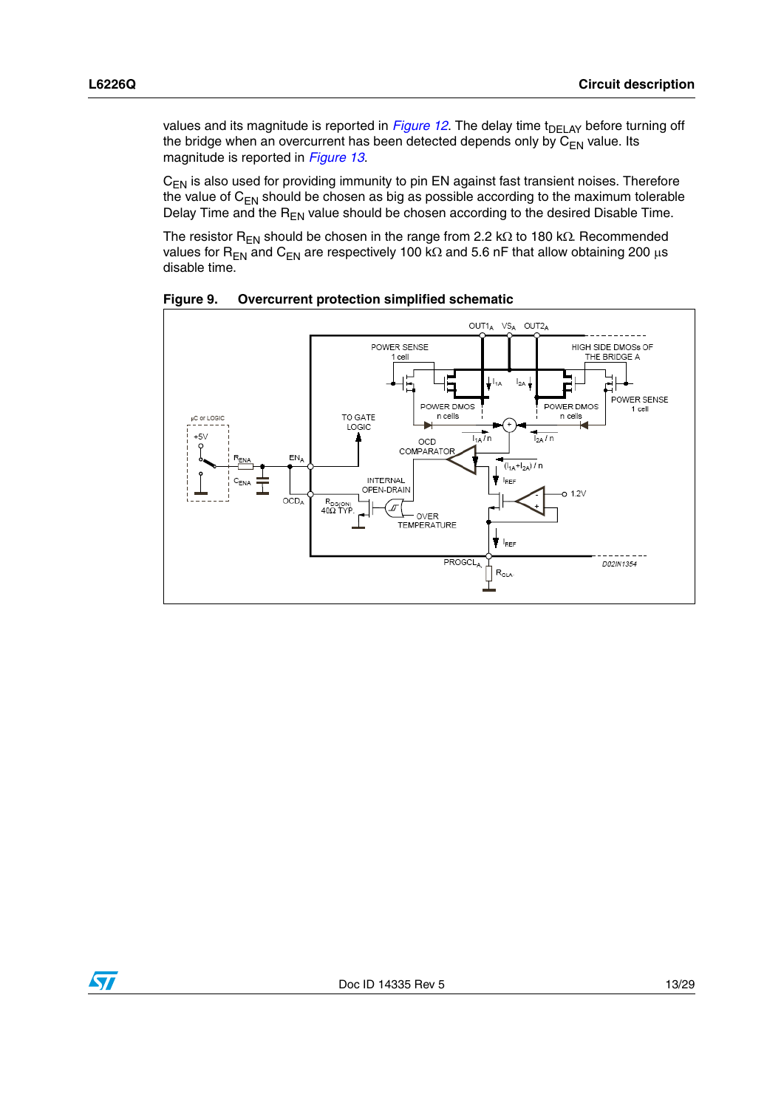values and its magnitude is reported in *[Figure 12](#page-14-0)*. The delay time t<sub>DELAY</sub> before turning off the bridge when an overcurrent has been detected depends only by  $\overline{C_{FN}}$  value. Its magnitude is reported in *[Figure 13](#page-14-1)*.

 $C_{EN}$  is also used for providing immunity to pin EN against fast transient noises. Therefore the value of  $C_{EN}$  should be chosen as big as possible according to the maximum tolerable Delay Time and the  $R_{EN}$  value should be chosen according to the desired Disable Time.

The resistor R<sub>EN</sub> should be chosen in the range from 2.2 kΩ to 180 kΩ. Recommended values for R<sub>EN</sub> and C<sub>EN</sub> are respectively 100 kΩ and 5.6 nF that allow obtaining 200 μs disable time.



<span id="page-12-0"></span>**Figure 9. Overcurrent protection simplified schematic**

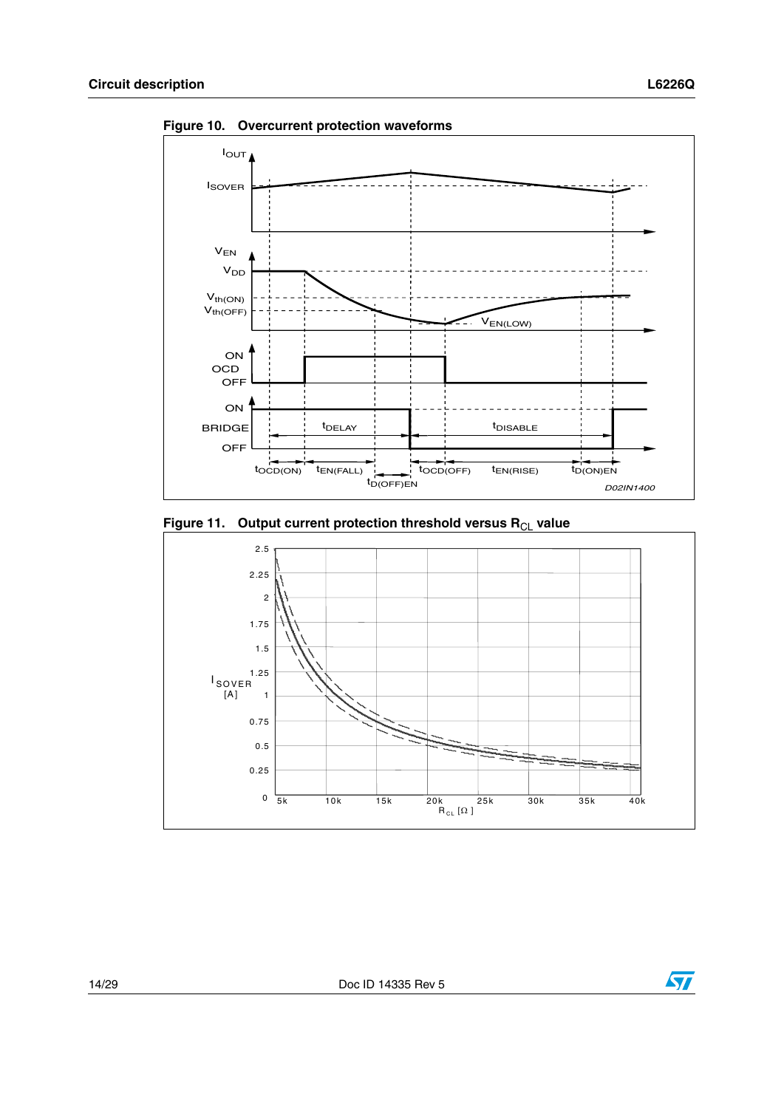

<span id="page-13-0"></span>**Figure 10. Overcurrent protection waveforms**

<span id="page-13-1"></span>



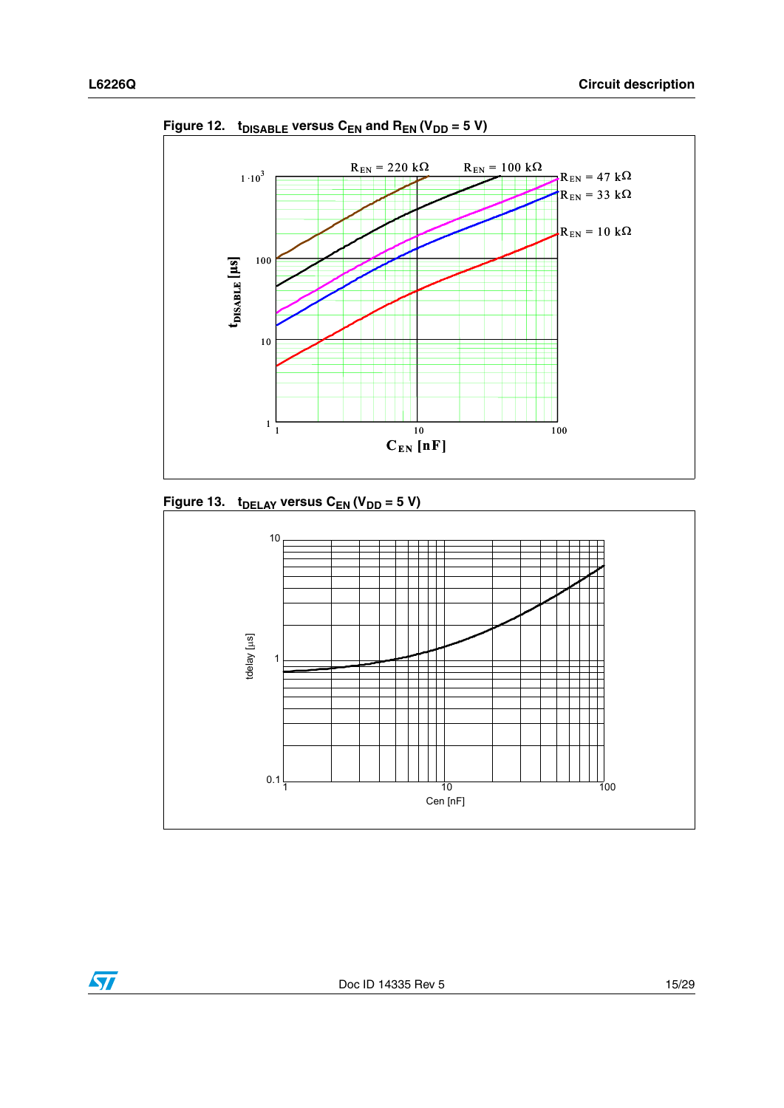

<span id="page-14-0"></span>Figure 12.  $t_{DISABLE}$  versus C<sub>EN</sub> and R<sub>EN</sub> (V<sub>DD</sub> = 5 V)

<span id="page-14-1"></span>

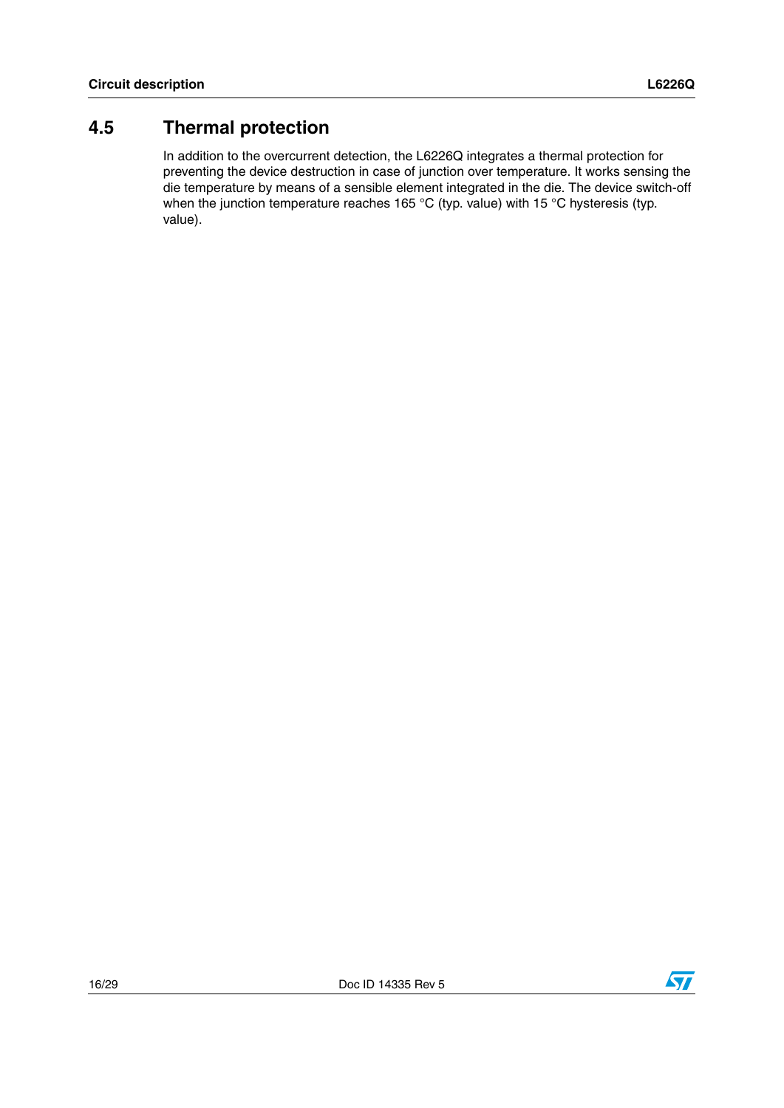### <span id="page-15-0"></span>**4.5 Thermal protection**

In addition to the overcurrent detection, the L6226Q integrates a thermal protection for preventing the device destruction in case of junction over temperature. It works sensing the die temperature by means of a sensible element integrated in the die. The device switch-off when the junction temperature reaches 165 °C (typ. value) with 15 °C hysteresis (typ. value).

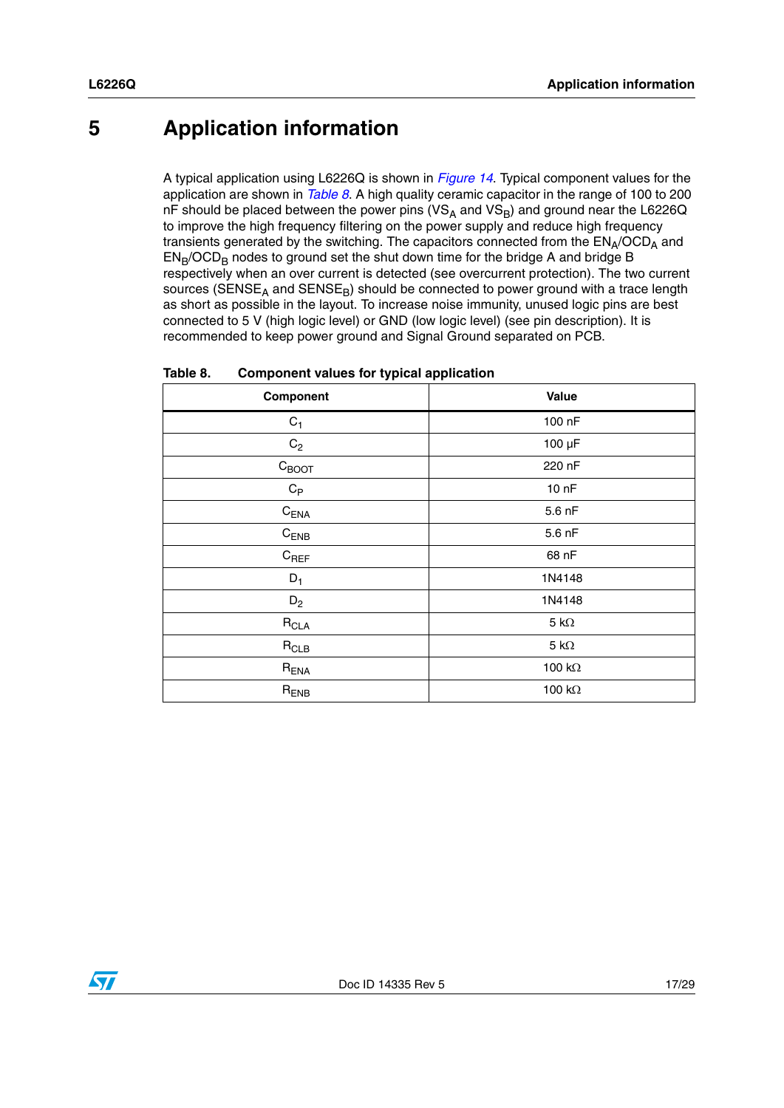## <span id="page-16-0"></span>**5 Application information**

A typical application using L6226Q is shown in *[Figure 14](#page-17-0)*. Typical component values for the application are shown in *[Table 8](#page-16-1)*. A high quality ceramic capacitor in the range of 100 to 200 nF should be placed between the power pins ( $VS_A$  and  $VS_B$ ) and ground near the L6226Q to improve the high frequency filtering on the power supply and reduce high frequency transients generated by the switching. The capacitors connected from the  $EN_A/OCD_A$  and  $EN_B/OCD_B$  nodes to ground set the shut down time for the bridge A and bridge B respectively when an over current is detected (see overcurrent protection). The two current sources ( $SENSE<sub>A</sub>$  and  $SENSE<sub>B</sub>$ ) should be connected to power ground with a trace length as short as possible in the layout. To increase noise immunity, unused logic pins are best connected to 5 V (high logic level) or GND (low logic level) (see pin description). It is recommended to keep power ground and Signal Ground separated on PCB.

| Component                 | Value               |
|---------------------------|---------------------|
| $\mathrm{C}_1$            | 100 nF              |
| $\mathrm{C}_2$            | $100 \mu F$         |
| $C_{\text{BOOT}}$         | 220 nF              |
| $\mathrm{C}_{\textsf{P}}$ | 10 <sub>nP</sub>    |
| $C_{ENA}$                 | 5.6 nF              |
| $C_{ENB}$                 | 5.6 nF              |
| $C_{REF}$                 | 68 nF               |
| $D_1$                     | 1N4148              |
| $D_2$                     | 1N4148              |
| $R_{\sf CLA}$             | $5 \text{ k}\Omega$ |
| $R_{CLB}$                 | $5 \text{ k}\Omega$ |
| $R_{ENA}$                 | 100 k $\Omega$      |
| $R_{ENB}$                 | 100 $k\Omega$       |

<span id="page-16-1"></span>

| Table 8. | <b>Component values for typical application</b> |
|----------|-------------------------------------------------|
|----------|-------------------------------------------------|

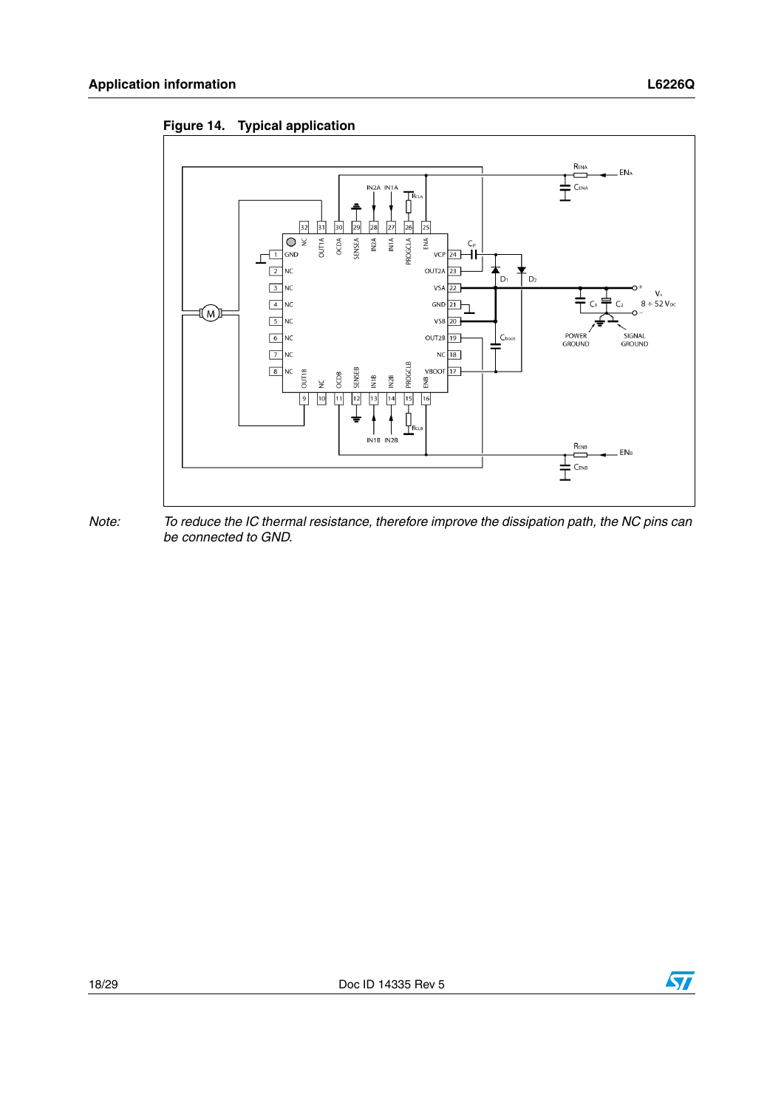<span id="page-17-0"></span>





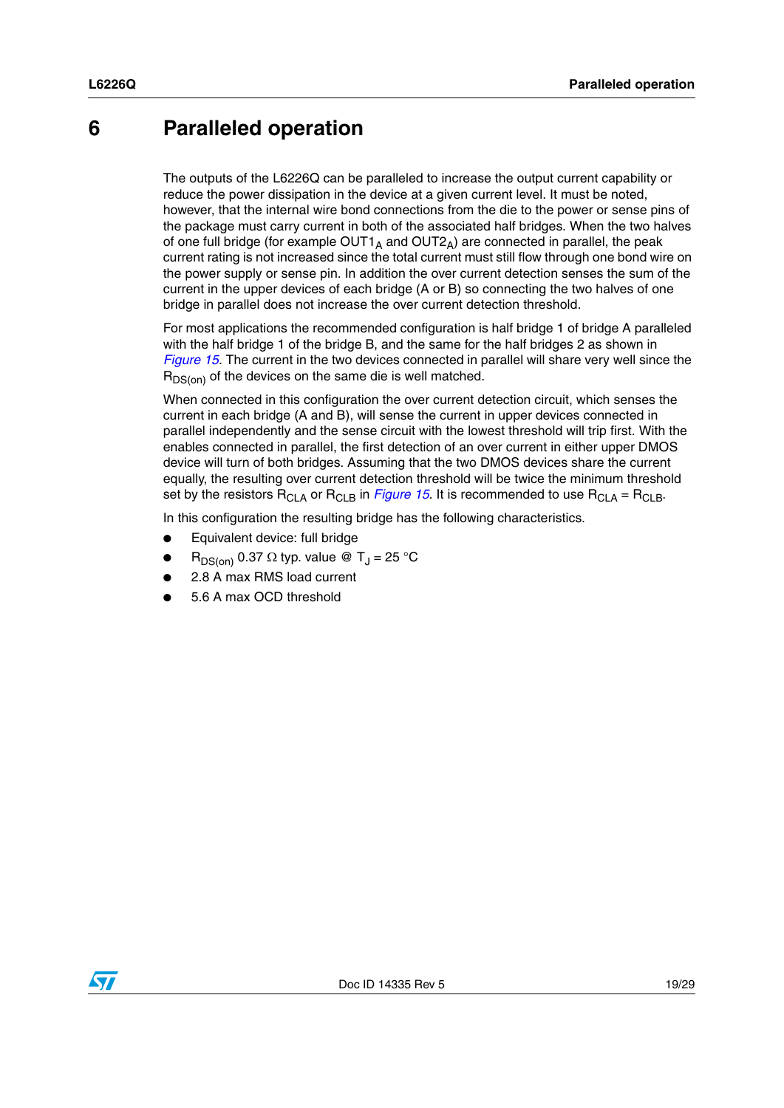### <span id="page-18-0"></span>**6 Paralleled operation**

The outputs of the L6226Q can be paralleled to increase the output current capability or reduce the power dissipation in the device at a given current level. It must be noted, however, that the internal wire bond connections from the die to the power or sense pins of the package must carry current in both of the associated half bridges. When the two halves of one full bridge (for example OUT1<sub>A</sub> and OUT2<sub>A</sub>) are connected in parallel, the peak current rating is not increased since the total current must still flow through one bond wire on the power supply or sense pin. In addition the over current detection senses the sum of the current in the upper devices of each bridge (A or B) so connecting the two halves of one bridge in parallel does not increase the over current detection threshold.

For most applications the recommended configuration is half bridge 1 of bridge A paralleled with the half bridge 1 of the bridge B, and the same for the half bridges 2 as shown in *[Figure 15](#page-19-0)*. The current in the two devices connected in parallel will share very well since the  $R_{DS(on)}$  of the devices on the same die is well matched.

When connected in this configuration the over current detection circuit, which senses the current in each bridge (A and B), will sense the current in upper devices connected in parallel independently and the sense circuit with the lowest threshold will trip first. With the enables connected in parallel, the first detection of an over current in either upper DMOS device will turn of both bridges. Assuming that the two DMOS devices share the current equally, the resulting over current detection threshold will be twice the minimum threshold set by the resistors  $R_{CLA}$  or  $R_{CLB}$  in *[Figure 15](#page-19-0)*. It is recommended to use  $R_{CLA} = R_{CLB}$ .

In this configuration the resulting bridge has the following characteristics.

- Equivalent device: full bridge
- $R_{DS(on)}$  0.37  $\Omega$  typ. value @ T<sub>J</sub> = 25 °C
- 2.8 A max RMS load current
- 5.6 A max OCD threshold

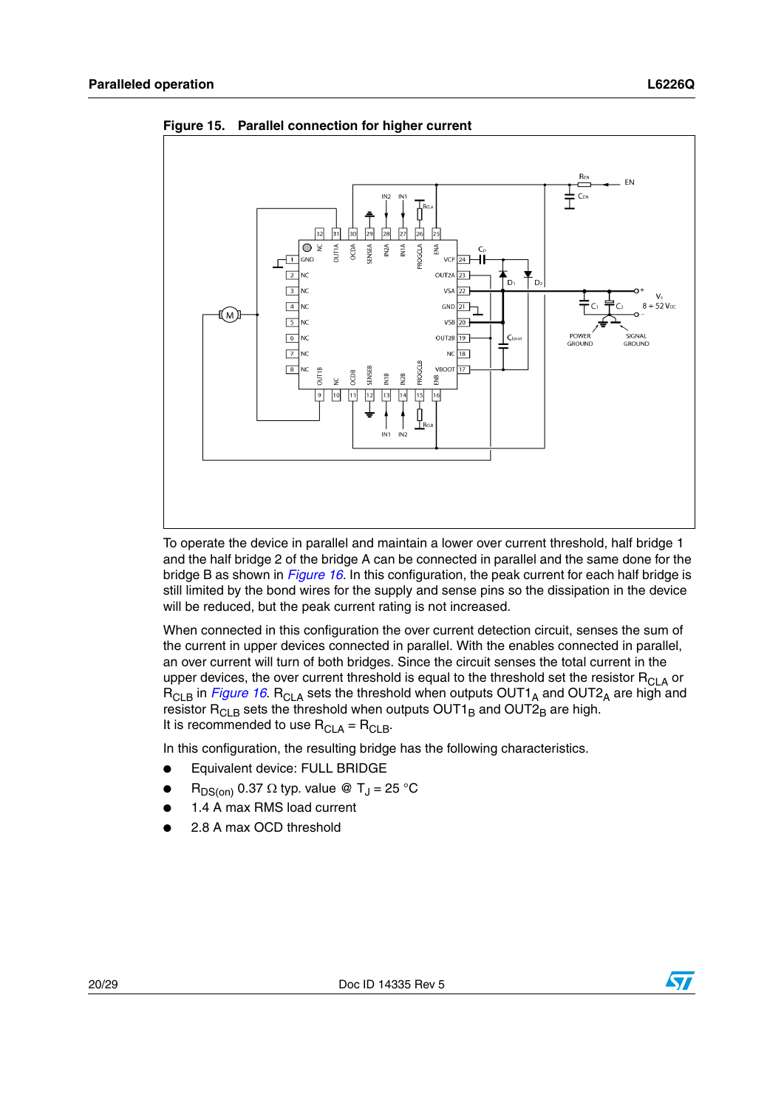

<span id="page-19-0"></span>**Figure 15. Parallel connection for higher current**

To operate the device in parallel and maintain a lower over current threshold, half bridge 1 and the half bridge 2 of the bridge A can be connected in parallel and the same done for the bridge B as shown in *[Figure 16](#page-20-0)*. In this configuration, the peak current for each half bridge is still limited by the bond wires for the supply and sense pins so the dissipation in the device will be reduced, but the peak current rating is not increased.

When connected in this configuration the over current detection circuit, senses the sum of the current in upper devices connected in parallel. With the enables connected in parallel, an over current will turn of both bridges. Since the circuit senses the total current in the upper devices, the over current threshold is equal to the threshold set the resistor  $R<sub>CLA</sub>$  or R<sub>CLB</sub> in *[Figure 16](#page-20-0)*. R<sub>CLA</sub> sets the threshold when outputs OUT1<sub>A</sub> and OUT2<sub>A</sub> are high and resistor  $\mathsf{R}_{\mathsf{CLB}}$  sets the threshold when outputs  $\mathsf{OUT1}_\mathsf{B}$  and  $\mathsf{OUT2}_\mathsf{B}$  are high. It is recommended to use  $R_{\text{CLA}} = R_{\text{CLB}}$ .

In this configuration, the resulting bridge has the following characteristics.

- Equivalent device: FULL BRIDGE
- $R_{DS(on)}$  0.37  $\Omega$  typ. value @ T<sub>J</sub> = 25 °C
- 1.4 A max RMS load current
- 2.8 A max OCD threshold



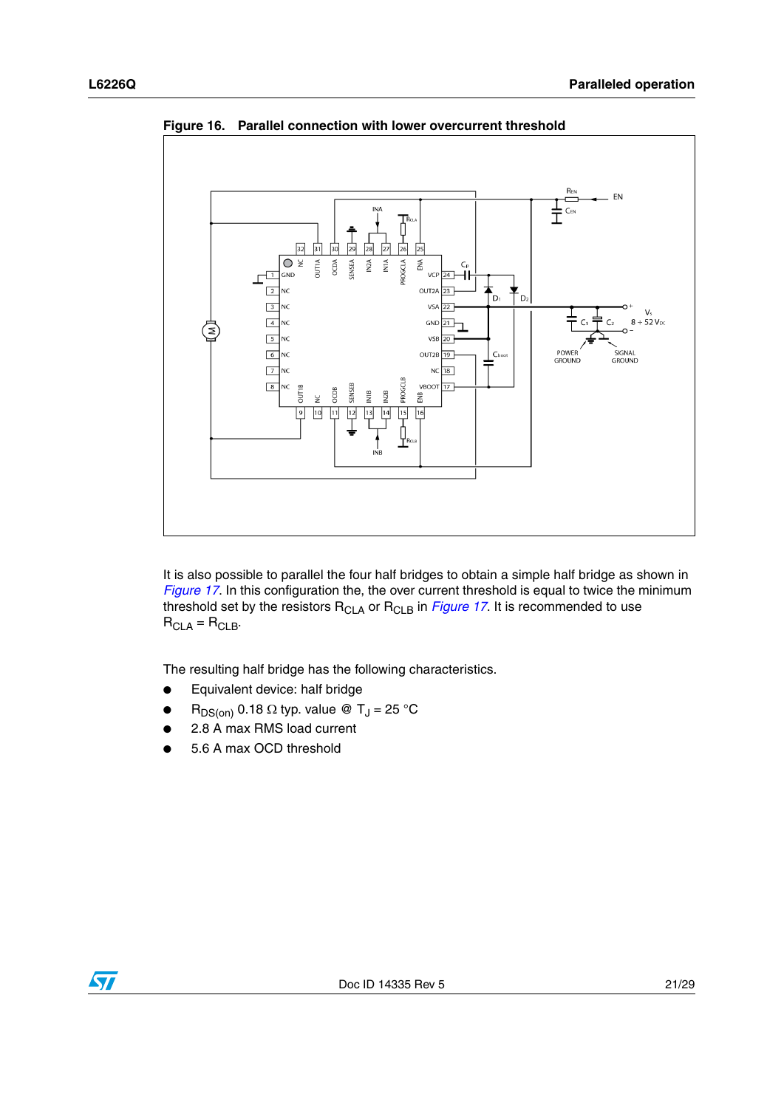

<span id="page-20-0"></span>**Figure 16. Parallel connection with lower overcurrent threshold**

It is also possible to parallel the four half bridges to obtain a simple half bridge as shown in *[Figure 17](#page-21-0)*. In this configuration the, the over current threshold is equal to twice the minimum threshold set by the resistors R<sub>CLA</sub> or R<sub>CLB</sub> in *[Figure 17](#page-21-0)*. It is recommended to use  $R_{CLA} = R_{CLB}$ .

The resulting half bridge has the following characteristics.

- Equivalent device: half bridge
- $R_{DS(on)}$  0.18  $\Omega$  typ. value @ T<sub>J</sub> = 25 °C
- 2.8 A max RMS load current
- 5.6 A max OCD threshold

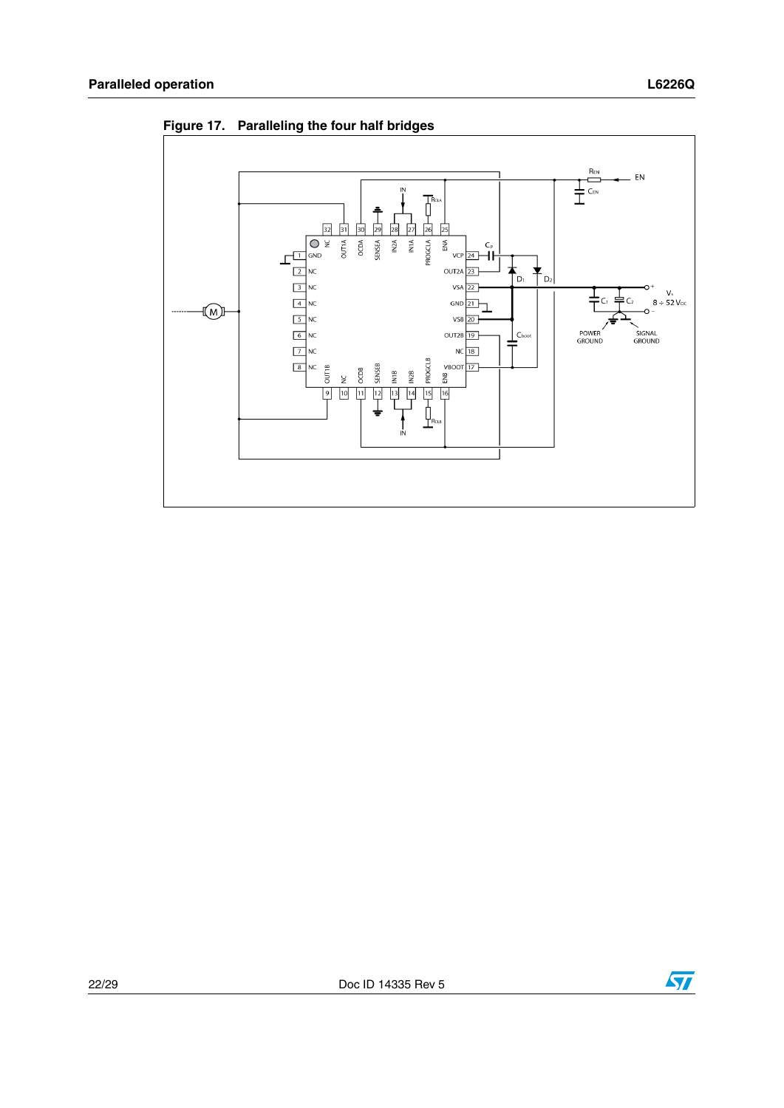

<span id="page-21-0"></span>**Figure 17. Paralleling the four half bridges**

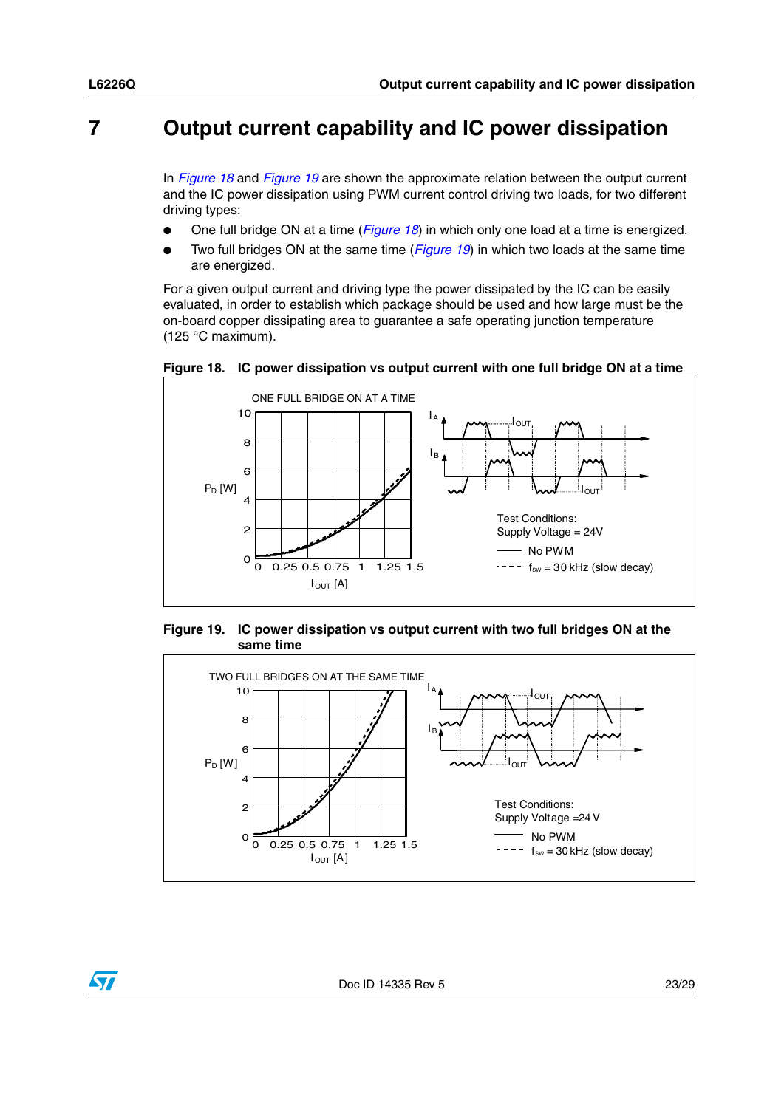## <span id="page-22-0"></span>**7 Output current capability and IC power dissipation**

In *[Figure 18](#page-22-1)* and *[Figure 19](#page-22-2)* are shown the approximate relation between the output current and the IC power dissipation using PWM current control driving two loads, for two different driving types:

- One full bridge ON at a time (*[Figure 18](#page-22-1)*) in which only one load at a time is energized.
- Two full bridges ON at the same time (*[Figure 19](#page-22-2)*) in which two loads at the same time are energized.

For a given output current and driving type the power dissipated by the IC can be easily evaluated, in order to establish which package should be used and how large must be the on-board copper dissipating area to guarantee a safe operating junction temperature (125 °C maximum).



<span id="page-22-1"></span>**Figure 18. IC power dissipation vs output current with one full bridge ON at a time**

<span id="page-22-2"></span>**Figure 19. IC power dissipation vs output current with two full bridges ON at the same time** 



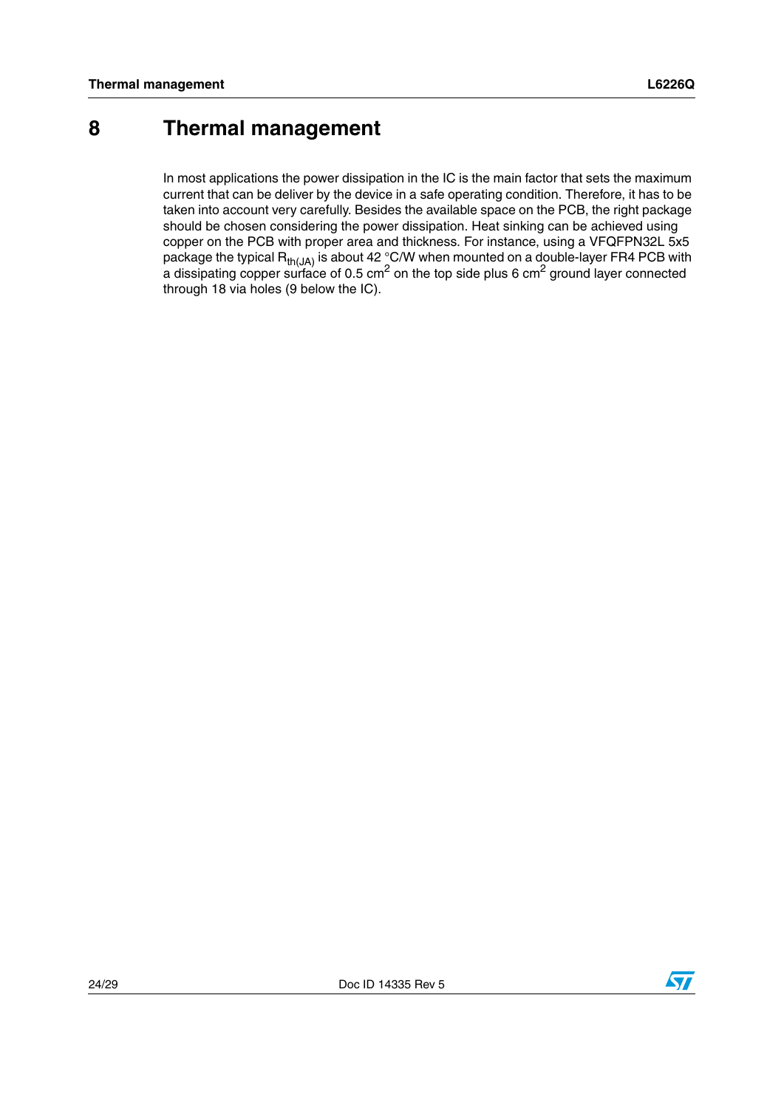## <span id="page-23-0"></span>**8 Thermal management**

In most applications the power dissipation in the IC is the main factor that sets the maximum current that can be deliver by the device in a safe operating condition. Therefore, it has to be taken into account very carefully. Besides the available space on the PCB, the right package should be chosen considering the power dissipation. Heat sinking can be achieved using copper on the PCB with proper area and thickness. For instance, using a VFQFPN32L 5x5 package the typical  $\mathsf{R}_{\mathsf{th}(J\mathsf{A})}$  is about 42 °C/W when mounted on a double-layer FR4 PCB with a dissipating copper surface of 0.5 cm<sup>2</sup> on the top side plus 6 cm<sup>2</sup> ground layer connected through 18 via holes (9 below the IC).

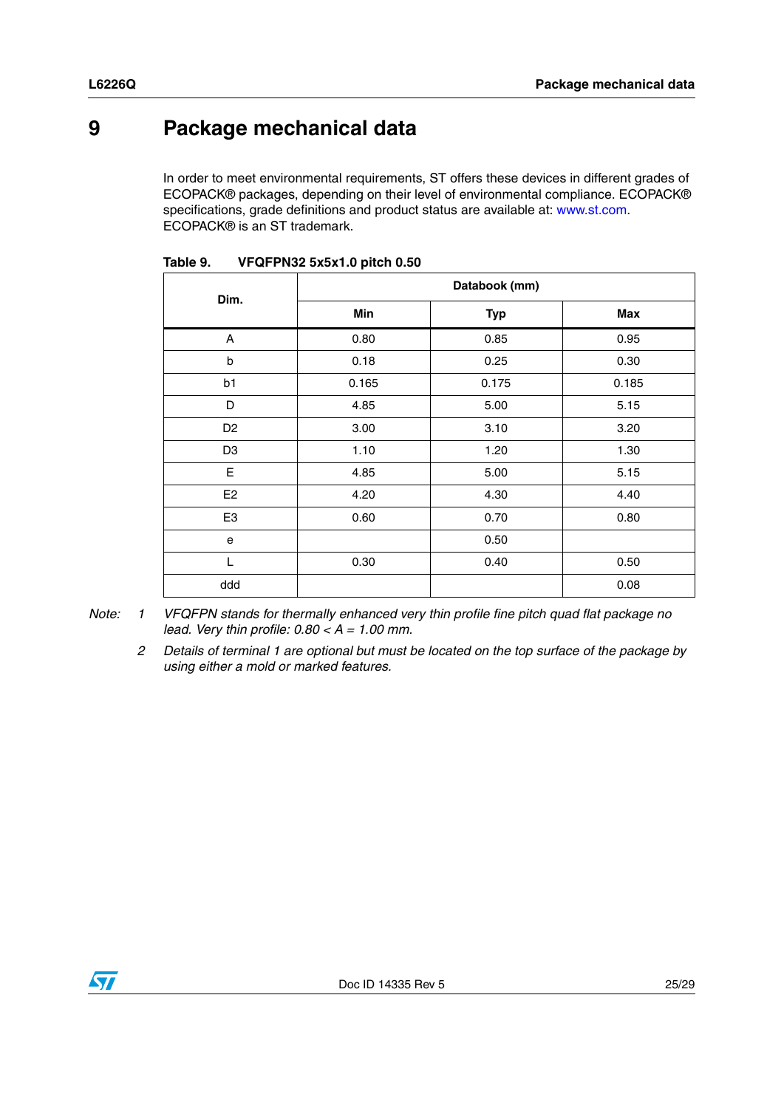## <span id="page-24-0"></span>**9 Package mechanical data**

In order to meet environmental requirements, ST offers these devices in different grades of ECOPACK® packages, depending on their level of environmental compliance. ECOPACK® specifications, grade definitions and product status are available at: www.st.com. ECOPACK® is an ST trademark.

| Dim.           | Databook (mm) |            |       |  |
|----------------|---------------|------------|-------|--|
|                | Min           | <b>Typ</b> | Max   |  |
| A              | 0.80          | 0.85       | 0.95  |  |
| b              | 0.18          | 0.25       | 0.30  |  |
| b1             | 0.165         | 0.175      | 0.185 |  |
| D              | 4.85          | 5.00       | 5.15  |  |
| D <sub>2</sub> | 3.00          | 3.10       | 3.20  |  |
| D <sub>3</sub> | 1.10          | 1.20       | 1.30  |  |
| E              | 4.85          | 5.00       | 5.15  |  |
| E <sub>2</sub> | 4.20          | 4.30       | 4.40  |  |
| E <sub>3</sub> | 0.60          | 0.70       | 0.80  |  |
| e              |               | 0.50       |       |  |
| $\mathbf{L}$   | 0.30          | 0.40       | 0.50  |  |
| ddd            |               |            | 0.08  |  |

| Table 9. | VFQFPN32 5x5x1.0 pitch 0.50 |  |
|----------|-----------------------------|--|
|          |                             |  |

*Note: 1 VFQFPN stands for thermally enhanced very thin profile fine pitch quad flat package no lead. Very thin profile: 0.80 < A = 1.00 mm.*

*2 Details of terminal 1 are optional but must be located on the top surface of the package by using either a mold or marked features.*

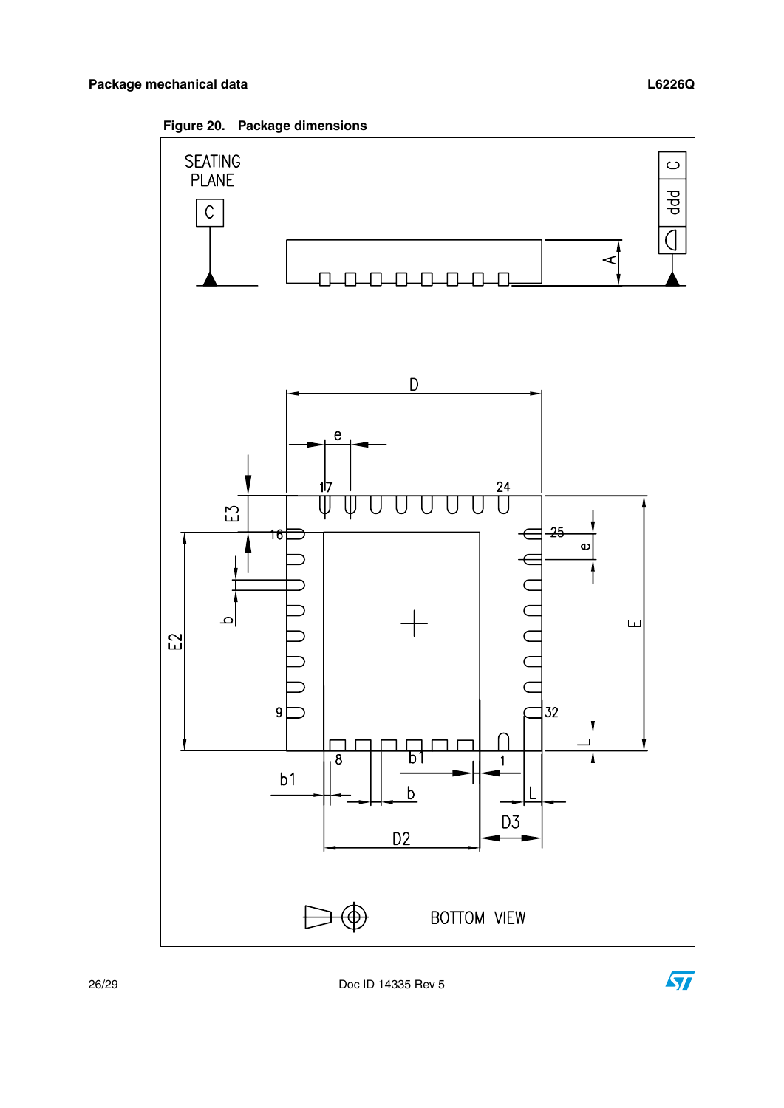

26/29 Doc ID 14335 Rev 5



 $\sqrt{2}$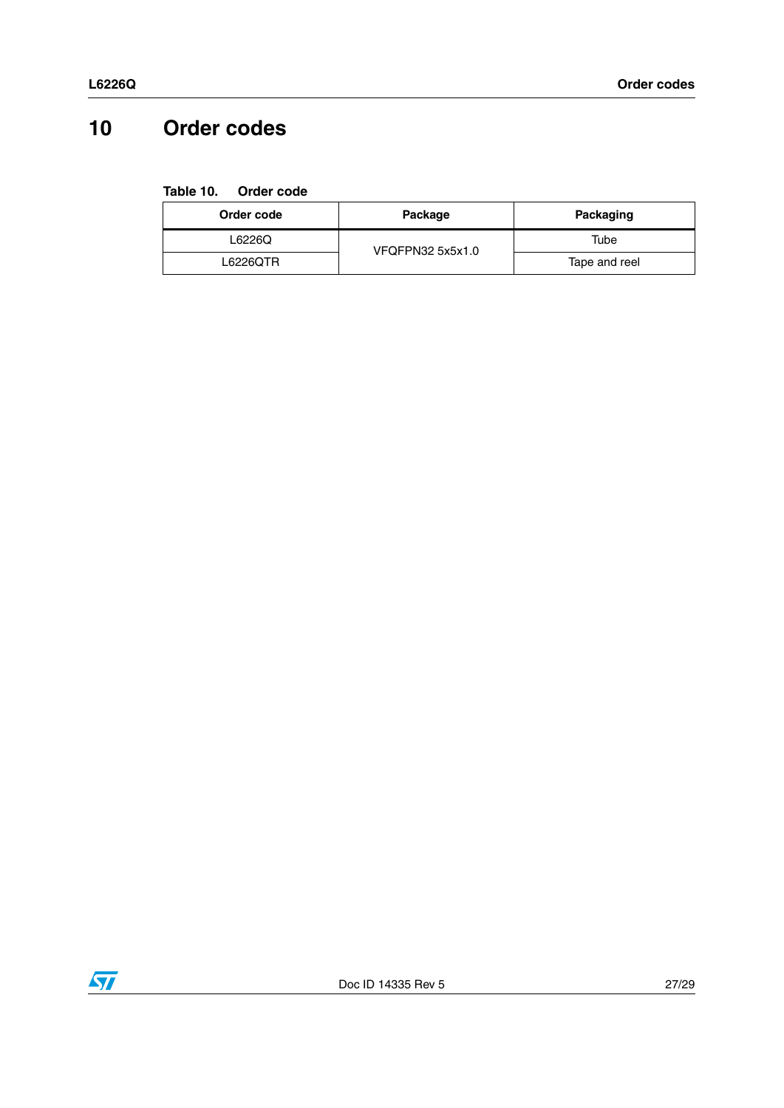## <span id="page-26-0"></span>**10 Order codes**

<span id="page-26-1"></span>**Table 10. Order code**

| Order code | Package          | Packaging     |
|------------|------------------|---------------|
| L6226Q     | VFQFPN32 5x5x1.0 | Tube          |
| L6226QTR   |                  | Tape and reel |

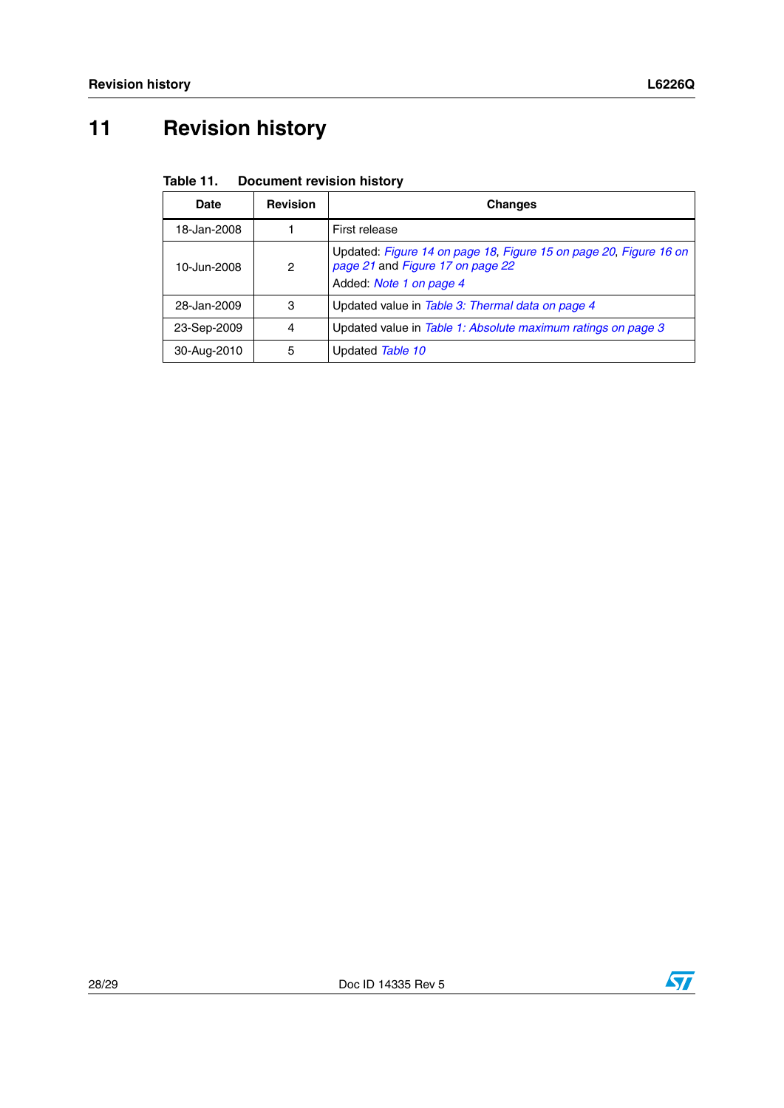## <span id="page-27-0"></span>**11 Revision history**

| <b>Document revision history</b> | Table 11. |  |  |  |
|----------------------------------|-----------|--|--|--|
|----------------------------------|-----------|--|--|--|

| Date        | <b>Revision</b> | <b>Changes</b>                                                                                                                   |
|-------------|-----------------|----------------------------------------------------------------------------------------------------------------------------------|
| 18-Jan-2008 |                 | First release                                                                                                                    |
| 10-Jun-2008 | 2               | Updated: Figure 14 on page 18, Figure 15 on page 20, Figure 16 on<br>page 21 and Figure 17 on page 22<br>Added: Note 1 on page 4 |
| 28-Jan-2009 | 3               | Updated value in Table 3: Thermal data on page 4                                                                                 |
| 23-Sep-2009 | 4               | Updated value in Table 1: Absolute maximum ratings on page 3                                                                     |
| 30-Aug-2010 | 5               | Updated Table 10                                                                                                                 |